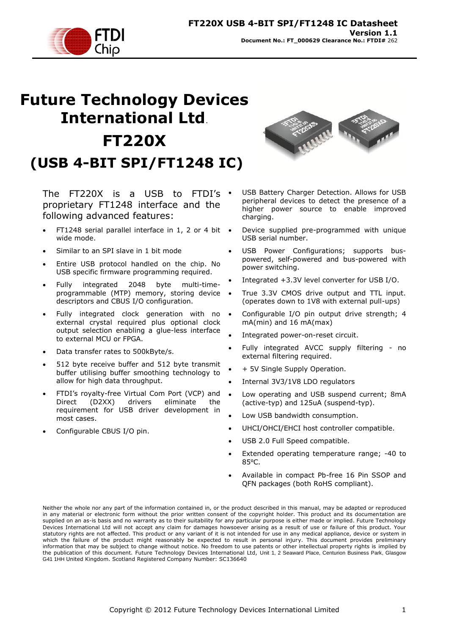

# **Future Technology Devices International Ltd**. **FT220X (USB 4-BIT SPI/FT1248 IC)**

The FT220X is a USB to FTDI's  $\cdot$ proprietary FT1248 interface and the following advanced features:

- FT1248 serial parallel interface in 1, 2 or 4 bit wide mode.
- Similar to an SPI slave in 1 bit mode
- Entire USB protocol handled on the chip. No USB specific firmware programming required.
- Fully integrated 2048 byte multi-timeprogrammable (MTP) memory, storing device descriptors and CBUS I/O configuration.
- Fully integrated clock generation with no external crystal required plus optional clock output selection enabling a glue-less interface to external MCU or FPGA.
- Data transfer rates to 500kByte/s.
- 512 byte receive buffer and 512 byte transmit buffer utilising buffer smoothing technology to allow for high data throughput.
- FTDI"s royalty-free Virtual Com Port (VCP) and Direct (D2XX) drivers eliminate the requirement for USB driver development in most cases.
- Configurable CBUS I/O pin.



- USB Battery Charger Detection. Allows for USB peripheral devices to detect the presence of a higher power source to enable improved charging.
- Device supplied pre-programmed with unique USB serial number.
- USB Power Configurations; supports buspowered, self-powered and bus-powered with power switching.
- Integrated +3.3V level converter for USB I/O.
- True 3.3V CMOS drive output and TTL input. (operates down to 1V8 with external pull-ups)
- Configurable I/O pin output drive strength; 4 mA(min) and 16 mA(max)
- Integrated power-on-reset circuit.
- Fully integrated AVCC supply filtering no external filtering required.
- + 5V Single Supply Operation.
- Internal 3V3/1V8 LDO regulators
- Low operating and USB suspend current; 8mA (active-typ) and 125uA (suspend-typ).
- Low USB bandwidth consumption.
- UHCI/OHCI/EHCI host controller compatible.
- USB 2.0 Full Speed compatible.
- Extended operating temperature range; -40 to 85⁰C.
- Available in compact Pb-free 16 Pin SSOP and QFN packages (both RoHS compliant).

Neither the whole nor any part of the information contained in, or the product described in this manual, may be adapted or reproduced in any material or electronic form without the prior written consent of the copyright holder. This product and its documentation are supplied on an as-is basis and no warranty as to their suitability for any particular purpose is either made or implied. Future Technology Devices International Ltd will not accept any claim for damages howsoever arising as a result of use or failure of this product. Your statutory rights are not affected. This product or any variant of it is not intended for use in any medical appliance, device or system in which the failure of the product might reasonably be expected to result in personal injury. This document provides preliminary information that may be subject to change without notice. No freedom to use patents or other intellectual property rights is implied by the publication of this document. Future Technology Devices International Ltd, Unit 1, 2 Seaward Place, Centurion Business Park, Glasgow G41 1HH United Kingdom. Scotland Registered Company Number: SC136640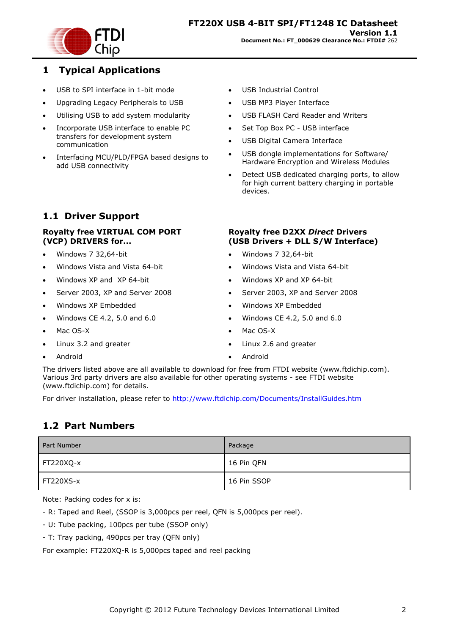

### <span id="page-1-0"></span>**1 Typical Applications**

- . USB to SPI interface in 1-bit mode
- Upgrading Legacy Peripherals to USB
- Utilising USB to add system modularity
- Incorporate USB interface to enable PC transfers for development system communication
- Interfacing MCU/PLD/FPGA based designs to add USB connectivity

# <span id="page-1-1"></span>**1.1 Driver Support**

### **Royalty free VIRTUAL COM PORT (VCP) DRIVERS for...**

- Windows 7 32,64-bit
- Windows Vista and Vista 64-bit
- Windows XP and XP 64-bit
- Server 2003, XP and Server 2008
- Windows XP Embedded
- Windows CE 4.2, 5.0 and 6.0
- Mac OS-X
- Linux 3.2 and greater
- Android
- USB Industrial Control
- USB MP3 Player Interface
- USB FLASH Card Reader and Writers
- Set Top Box PC USB interface
- USB Digital Camera Interface
- USB dongle implementations for Software/ Hardware Encryption and Wireless Modules
- Detect USB dedicated charging ports, to allow for high current battery charging in portable devices.

### **Royalty free D2XX** *Direct* **Drivers (USB Drivers + DLL S/W Interface)**

- Windows 7 32,64-bit
- Windows Vista and Vista 64-bit
- Windows XP and XP 64-bit
- Server 2003, XP and Server 2008
- Windows XP Embedded
- Windows CE 4.2, 5.0 and 6.0
- Mac OS-X
- Linux 2.6 and greater
- Android

The drivers listed above are all available to download for free from [FTDI website](http://www.ftdichip.com/) [\(www.ftdichip.com\)](file://glaspssv1/General/Engineering/Engineering%20_Documents/DS_FT232R/DS_FT232R_V200/www.ftdichip.com). Various 3rd party drivers are also available for other operating systems - see [FTDI website](http://www.ftdichip.com/) [\(www.ftdichip.com\)](http://www.ftdichip.com/) for details.

For driver installation, please refer to <http://www.ftdichip.com/Documents/InstallGuides.htm>

# <span id="page-1-2"></span>**1.2 Part Numbers**

| Part Number | Package     |
|-------------|-------------|
| FT220XQ-x   | 16 Pin QFN  |
| FT220XS-x   | 16 Pin SSOP |

Note: Packing codes for x is:

- R: Taped and Reel, (SSOP is 3,000pcs per reel, QFN is 5,000pcs per reel).
- U: Tube packing, 100pcs per tube (SSOP only)
- T: Tray packing, 490pcs per tray (QFN only)

For example: FT220XQ-R is 5,000pcs taped and reel packing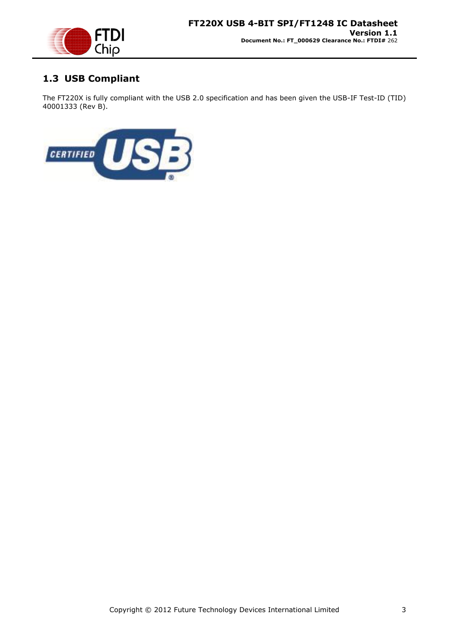

# <span id="page-2-0"></span>**1.3 USB Compliant**

The FT220X is fully compliant with the USB 2.0 specification and has been given the USB-IF Test-ID (TID) 40001333 (Rev B).

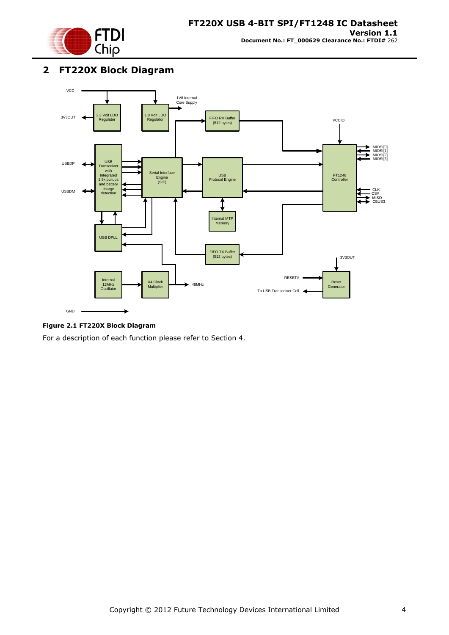

### <span id="page-3-0"></span>**2 FT220X Block Diagram**



#### <span id="page-3-1"></span>**Figure 2.1 FT220X Block Diagram**

For a description of each function please refer to Section 4.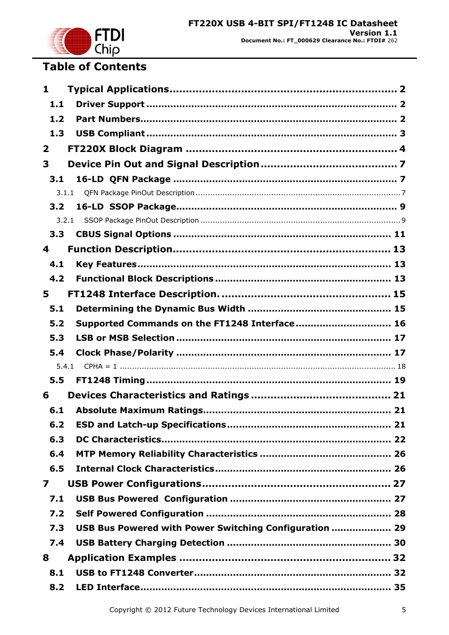

# **Table of Contents**

| 1                       |                                                        |  |
|-------------------------|--------------------------------------------------------|--|
| 1.1                     |                                                        |  |
| 1.2                     |                                                        |  |
| 1.3                     |                                                        |  |
| $\overline{\mathbf{2}}$ |                                                        |  |
| 3                       |                                                        |  |
| 3.1                     |                                                        |  |
| 3.1.1                   |                                                        |  |
| 3.2                     |                                                        |  |
| 3.2.1                   |                                                        |  |
| 3.3                     |                                                        |  |
| 4                       |                                                        |  |
| 4.1                     |                                                        |  |
| 4.2                     |                                                        |  |
| 5                       |                                                        |  |
| 5.1                     |                                                        |  |
| 5.2                     | Supported Commands on the FT1248 Interface 16          |  |
| 5.3                     |                                                        |  |
| 5.4                     |                                                        |  |
| 5.4.1                   |                                                        |  |
| 5.5                     |                                                        |  |
| 6                       |                                                        |  |
| 6.1                     |                                                        |  |
| 6.2                     |                                                        |  |
| 6.3                     |                                                        |  |
| 6.4                     |                                                        |  |
| 6.5                     |                                                        |  |
| 7                       |                                                        |  |
| 7.1                     |                                                        |  |
| 7.2                     |                                                        |  |
| 7.3                     | USB Bus Powered with Power Switching Configuration  29 |  |
| 7.4                     |                                                        |  |
| 8                       |                                                        |  |
| 8.1                     |                                                        |  |
| 8.2                     |                                                        |  |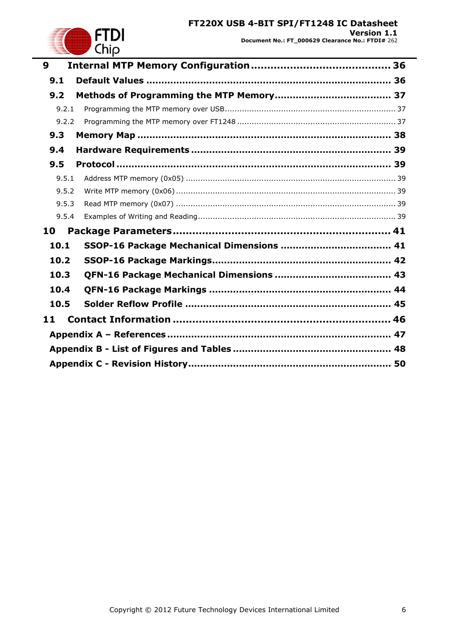### **FT220X USB 4-BIT SPI/FT1248 IC Datasheet Version 1.1 Document No.: FT\_000629 Clearance No.: FTDI#** 262



| 9     |  |
|-------|--|
| 9.1   |  |
| 9.2   |  |
| 9.2.1 |  |
| 9.2.2 |  |
| 9.3   |  |
| 9.4   |  |
| 9.5   |  |
| 9.5.1 |  |
| 9.5.2 |  |
| 9.5.3 |  |
| 9.5.4 |  |
| 10    |  |
| 10.1  |  |
| 10.2  |  |
| 10.3  |  |
| 10.4  |  |
| 10.5  |  |
| 11    |  |
|       |  |
|       |  |
|       |  |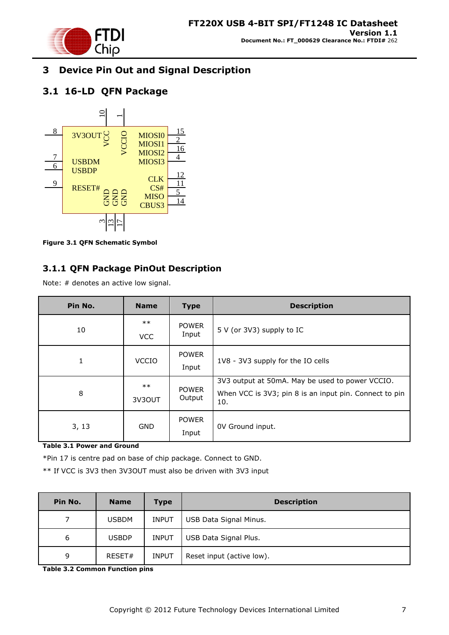

# <span id="page-6-0"></span>**3 Device Pin Out and Signal Description**

# <span id="page-6-1"></span>**3.1 16-LD QFN Package**



<span id="page-6-3"></span>**Figure 3.1 QFN Schematic Symbol**

### <span id="page-6-2"></span>**3.1.1 QFN Package PinOut Description**

Note: # denotes an active low signal.

| Pin No. | <b>Name</b>         | <b>Type</b>            | <b>Description</b>                                                                                               |  |  |
|---------|---------------------|------------------------|------------------------------------------------------------------------------------------------------------------|--|--|
| 10      | $***$<br><b>VCC</b> | <b>POWER</b><br>Input  | 5 V (or 3V3) supply to IC                                                                                        |  |  |
| 1       | <b>VCCIO</b>        | <b>POWER</b><br>Input  | 1V8 - 3V3 supply for the IO cells                                                                                |  |  |
| 8       | $***$<br>3V3OUT     | <b>POWER</b><br>Output | 3V3 output at 50mA. May be used to power VCCIO.<br>When VCC is 3V3; pin 8 is an input pin. Connect to pin<br>10. |  |  |
| 3, 13   | <b>GND</b>          | <b>POWER</b><br>Input  | OV Ground input.                                                                                                 |  |  |

<span id="page-6-4"></span>**Table 3.1 Power and Ground** 

\*Pin 17 is centre pad on base of chip package. Connect to GND.

\*\* If VCC is 3V3 then 3V3OUT must also be driven with 3V3 input

| Pin No. | <b>Name</b>  | <b>Type</b>  | <b>Description</b>        |
|---------|--------------|--------------|---------------------------|
|         | <b>USBDM</b> | <b>INPUT</b> | USB Data Signal Minus.    |
| 6       | <b>USBDP</b> | <b>INPUT</b> | USB Data Signal Plus.     |
| 9       | RESET#       | <b>INPUT</b> | Reset input (active low). |

<span id="page-6-5"></span>**Table 3.2 Common Function pins**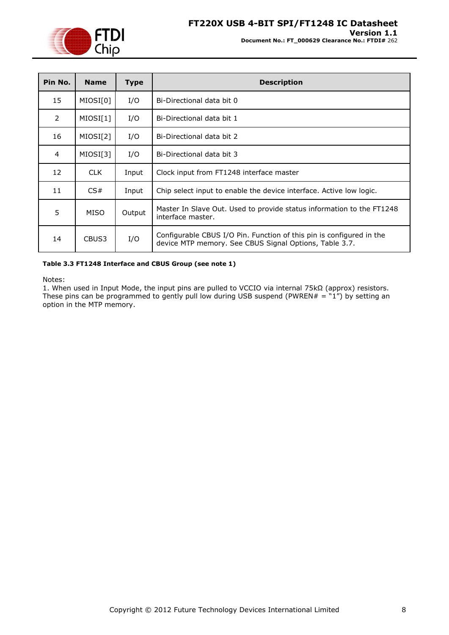

| Pin No.        | <b>Name</b> | <b>Type</b> | <b>Description</b>                                                                                                             |
|----------------|-------------|-------------|--------------------------------------------------------------------------------------------------------------------------------|
| 15             | MIOSI[0]    | I/O         | Bi-Directional data bit 0                                                                                                      |
| $\overline{2}$ | MIOSI[1]    | I/O         | Bi-Directional data bit 1                                                                                                      |
| 16             | MIOSI[2]    | I/O         | Bi-Directional data bit 2                                                                                                      |
| 4              | MIOSI[3]    | I/O         | Bi-Directional data bit 3                                                                                                      |
| 12             | CLK.        | Input       | Clock input from FT1248 interface master                                                                                       |
| 11             | CS#         | Input       | Chip select input to enable the device interface. Active low logic.                                                            |
| 5              | <b>MISO</b> | Output      | Master In Slave Out. Used to provide status information to the FT1248<br>interface master.                                     |
| 14             | CBUS3       | I/O         | Configurable CBUS I/O Pin. Function of this pin is configured in the<br>device MTP memory. See CBUS Signal Options, Table 3.7. |

#### <span id="page-7-0"></span>**Table 3.3 FT1248 Interface and CBUS Group (see note 1)**

Notes:

1. When used in Input Mode, the input pins are pulled to VCCIO via internal 75kΩ (approx) resistors. These pins can be programmed to gently pull low during USB suspend (PWREN $# = "1")$  by setting an option in the MTP memory.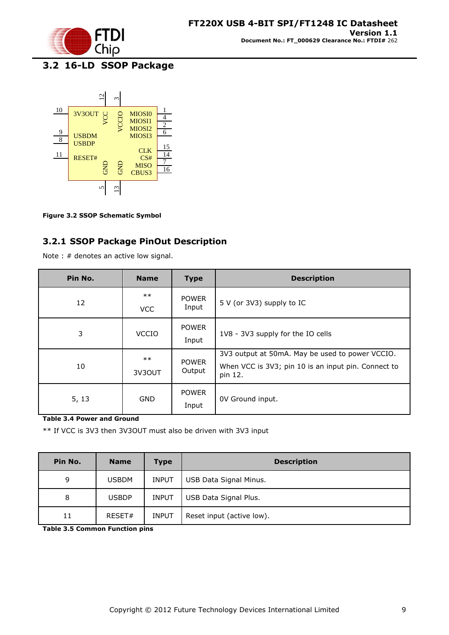

# <span id="page-8-0"></span>**3.2 16-LD SSOP Package**



<span id="page-8-2"></span>**Figure 3.2 SSOP Schematic Symbol**

### <span id="page-8-1"></span>**3.2.1 SSOP Package PinOut Description**

Note : # denotes an active low signal.

| Pin No. | <b>Name</b>         | <b>Type</b>            | <b>Description</b>                                                                                                |  |  |  |
|---------|---------------------|------------------------|-------------------------------------------------------------------------------------------------------------------|--|--|--|
| 12      | $***$<br><b>VCC</b> | <b>POWER</b><br>Input  | 5 V (or 3V3) supply to IC                                                                                         |  |  |  |
| 3       | <b>VCCIO</b>        | <b>POWER</b><br>Input  | 1V8 - 3V3 supply for the IO cells                                                                                 |  |  |  |
| 10      | $***$<br>3V3OUT     | <b>POWER</b><br>Output | 3V3 output at 50mA. May be used to power VCCIO.<br>When VCC is 3V3; pin 10 is an input pin. Connect to<br>pin 12. |  |  |  |
| 5, 13   | <b>GND</b>          | <b>POWER</b><br>Input  | OV Ground input.                                                                                                  |  |  |  |

<span id="page-8-3"></span>**Table 3.4 Power and Ground** 

\*\* If VCC is 3V3 then 3V3OUT must also be driven with 3V3 input

| Pin No. | <b>Name</b>  | Type         | <b>Description</b>        |
|---------|--------------|--------------|---------------------------|
| 9       | <b>USBDM</b> | <b>INPUT</b> | USB Data Signal Minus.    |
| 8       | <b>USBDP</b> | <b>INPUT</b> | USB Data Signal Plus.     |
| 11      | RESET#       | <b>INPUT</b> | Reset input (active low). |

<span id="page-8-4"></span>**Table 3.5 Common Function pins**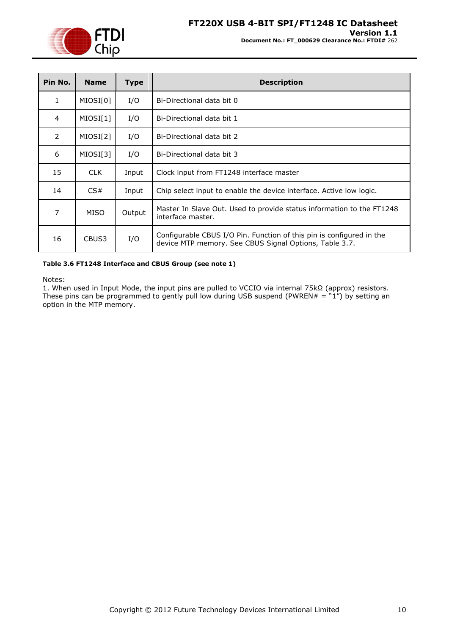

| Pin No.        | <b>Name</b> | Type   | <b>Description</b>                                                                                                             |
|----------------|-------------|--------|--------------------------------------------------------------------------------------------------------------------------------|
| 1              | MIOSI[0]    | I/O    | Bi-Directional data bit 0                                                                                                      |
| 4              | MIOSI[1]    | I/O    | Bi-Directional data bit 1                                                                                                      |
| $\overline{2}$ | MIOSI[2]    | I/O    | Bi-Directional data bit 2                                                                                                      |
| 6              | MIOSI[3]    | I/O    | Bi-Directional data bit 3                                                                                                      |
| 15             | CLK.        | Input  | Clock input from FT1248 interface master                                                                                       |
| 14             | CS#         | Input  | Chip select input to enable the device interface. Active low logic.                                                            |
| 7              | MISO        | Output | Master In Slave Out. Used to provide status information to the FT1248<br>interface master.                                     |
| 16             | CBUS3       | I/O    | Configurable CBUS I/O Pin. Function of this pin is configured in the<br>device MTP memory. See CBUS Signal Options, Table 3.7. |

#### <span id="page-9-0"></span>**Table 3.6 FT1248 Interface and CBUS Group (see note 1)**

Notes:

1. When used in Input Mode, the input pins are pulled to VCCIO via internal 75kΩ (approx) resistors. These pins can be programmed to gently pull low during USB suspend (PWREN $# = "1")$  by setting an option in the MTP memory.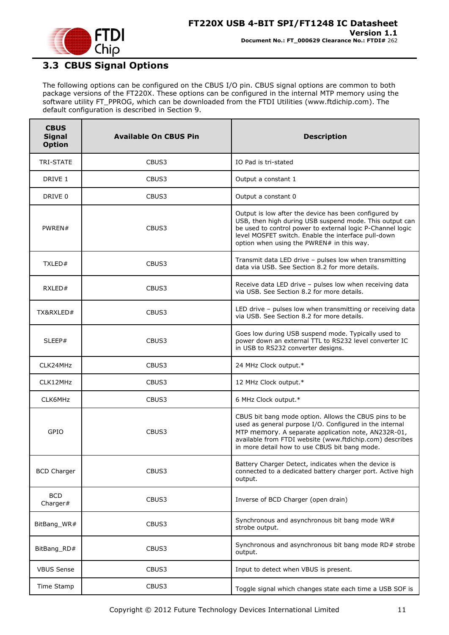

# <span id="page-10-0"></span>**3.3 CBUS Signal Options**

The following options can be configured on the CBUS I/O pin. CBUS signal options are common to both package versions of the FT220X. These options can be configured in the internal MTP memory using the software utility FT\_PPROG, which can be downloaded from the [FTDI Utilities](http://www.ftdichip.com/Resources/Utilities.htm) [\(www.ftdichip.com\)](http://www.ftdichip.com/). The default configuration is described in Section [9.](#page-35-0)

| <b>CBUS</b><br><b>Signal</b><br><b>Option</b> | <b>Available On CBUS Pin</b> | <b>Description</b>                                                                                                                                                                                                                                                                   |  |  |
|-----------------------------------------------|------------------------------|--------------------------------------------------------------------------------------------------------------------------------------------------------------------------------------------------------------------------------------------------------------------------------------|--|--|
| <b>TRI-STATE</b>                              | CBUS3                        | IO Pad is tri-stated                                                                                                                                                                                                                                                                 |  |  |
| DRIVE 1                                       | CBUS3                        | Output a constant 1                                                                                                                                                                                                                                                                  |  |  |
| DRIVE 0                                       | CBUS3                        | Output a constant 0                                                                                                                                                                                                                                                                  |  |  |
| PWREN#                                        | CBUS3                        | Output is low after the device has been configured by<br>USB, then high during USB suspend mode. This output can<br>be used to control power to external logic P-Channel logic<br>level MOSFET switch. Enable the interface pull-down<br>option when using the PWREN# in this way.   |  |  |
| TXLED#                                        | CBUS3                        | Transmit data LED drive - pulses low when transmitting<br>data via USB. See Section 8.2 for more details.                                                                                                                                                                            |  |  |
| RXLED#                                        | CBUS3                        | Receive data LED drive - pulses low when receiving data<br>via USB. See Section 8.2 for more details.                                                                                                                                                                                |  |  |
| TX&RXLED#                                     | CBUS3                        | LED drive - pulses low when transmitting or receiving data<br>via USB. See Section 8.2 for more details.                                                                                                                                                                             |  |  |
| SLEEP#                                        | CBUS3                        | Goes low during USB suspend mode. Typically used to<br>power down an external TTL to RS232 level converter IC<br>in USB to RS232 converter designs.                                                                                                                                  |  |  |
| CLK24MHz                                      | CBUS3                        | 24 MHz Clock output.*                                                                                                                                                                                                                                                                |  |  |
| CLK12MHz                                      | CBUS3                        | 12 MHz Clock output.*                                                                                                                                                                                                                                                                |  |  |
| CLK6MHz                                       | CBUS3                        | 6 MHz Clock output.*                                                                                                                                                                                                                                                                 |  |  |
| GPIO                                          | CBUS3                        | CBUS bit bang mode option. Allows the CBUS pins to be<br>used as general purpose I/O. Configured in the internal<br>MTP memory. A separate application note, AN232R-01,<br>available from FTDI website (www.ftdichip.com) describes<br>in more detail how to use CBUS bit bang mode. |  |  |
| <b>BCD Charger</b>                            | CBUS3                        | Battery Charger Detect, indicates when the device is<br>connected to a dedicated battery charger port. Active high<br>output.                                                                                                                                                        |  |  |
| <b>BCD</b><br>Charger#                        | CBUS3                        | Inverse of BCD Charger (open drain)                                                                                                                                                                                                                                                  |  |  |
| BitBang WR#                                   | CBUS3                        | Synchronous and asynchronous bit bang mode WR#<br>strobe output.                                                                                                                                                                                                                     |  |  |
| BitBang_RD#                                   | CBUS3                        | Synchronous and asynchronous bit bang mode RD# strobe<br>output.                                                                                                                                                                                                                     |  |  |
| <b>VBUS Sense</b>                             | CBUS3                        | Input to detect when VBUS is present.                                                                                                                                                                                                                                                |  |  |
| Time Stamp                                    | CBUS3                        | Toggle signal which changes state each time a USB SOF is                                                                                                                                                                                                                             |  |  |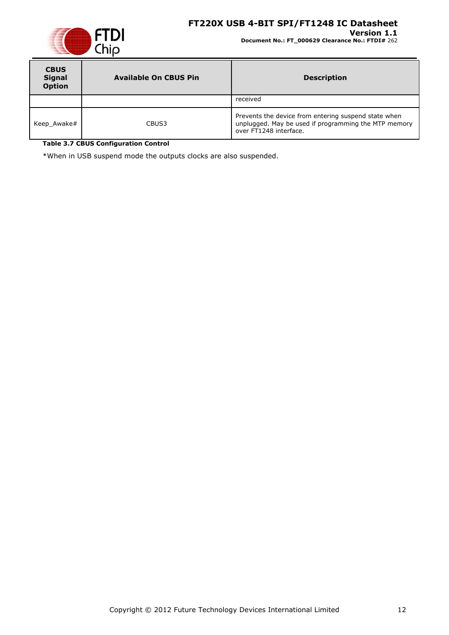### **FT220X USB 4-BIT SPI/FT1248 IC Datasheet**



#### **Version 1.1 Document No.: FT\_000629 Clearance No.: FTDI#** 262

| <b>CBUS</b><br><b>Signal</b><br><b>Option</b> | <b>Available On CBUS Pin</b> | <b>Description</b>                                                                                                                     |  |  |
|-----------------------------------------------|------------------------------|----------------------------------------------------------------------------------------------------------------------------------------|--|--|
|                                               |                              | received                                                                                                                               |  |  |
| Keep Awake#                                   | CBUS3                        | Prevents the device from entering suspend state when<br>unplugged. May be used if programming the MTP memory<br>over FT1248 interface. |  |  |

<span id="page-11-0"></span>**Table 3.7 CBUS Configuration Control**

\*When in USB suspend mode the outputs clocks are also suspended.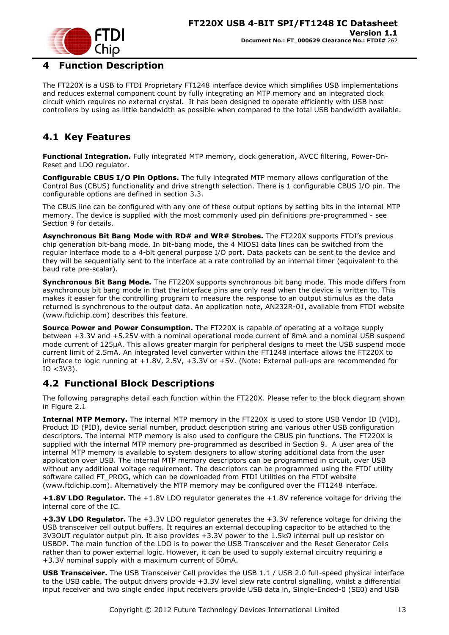

# <span id="page-12-0"></span>**4 Function Description**

The FT220X is a USB to FTDI Proprietary FT1248 interface device which simplifies USB implementations and reduces external component count by fully integrating an MTP memory and an integrated clock circuit which requires no external crystal. It has been designed to operate efficiently with USB host controllers by using as little bandwidth as possible when compared to the total USB bandwidth available.

# <span id="page-12-1"></span>**4.1 Key Features**

**Functional Integration.** Fully integrated MTP memory, clock generation, AVCC filtering, Power-On-Reset and LDO regulator.

**Configurable CBUS I/O Pin Options.** The fully integrated MTP memory allows configuration of the Control Bus (CBUS) functionality and drive strength selection. There is 1 configurable CBUS I/O pin. The configurable options are defined in section 3.3.

The CBUS line can be configured with any one of these output options by setting bits in the internal MTP memory. The device is supplied with the most commonly used pin definitions pre-programmed - see Section [9](#page-35-0) for details.

**Asynchronous Bit Bang Mode with RD# and WR# Strobes.** The FT220X supports FTDI"s previous chip generation bit-bang mode. In bit-bang mode, the 4 MIOSI data lines can be switched from the regular interface mode to a 4-bit general purpose I/O port. Data packets can be sent to the device and they will be sequentially sent to the interface at a rate controlled by an internal timer (equivalent to the baud rate pre-scalar).

**Synchronous Bit Bang Mode.** The FT220X supports synchronous bit bang mode. This mode differs from asynchronous bit bang mode in that the interface pins are only read when the device is written to. This makes it easier for the controlling program to measure the response to an output stimulus as the data returned is synchronous to the output data. An application note, [AN232R-01,](http://ftdichip.com/Documents/AppNotes/AN232R-01_FT232RBitBangModes.pdf) available from [FTDI website](http://www.ftdichip.com/) [\(www.ftdichip.com\)](http://www.ftdichip.com/) describes this feature.

**Source Power and Power Consumption.** The FT220X is capable of operating at a voltage supply between +3.3V and +5.25V with a nominal operational mode current of 8mA and a nominal USB suspend mode current of 125µA. This allows greater margin for peripheral designs to meet the USB suspend mode current limit of 2.5mA. An integrated level converter within the FT1248 interface allows the FT220X to interface to logic running at  $+1.8V$ , 2.5V,  $+3.3V$  or  $+5V$ . (Note: External pull-ups are recommended for  $IO < 3V3$ ).

# <span id="page-12-2"></span>**4.2 Functional Block Descriptions**

The following paragraphs detail each function within the FT220X. Please refer to the block diagram shown in Figure 2.1

**Internal MTP Memory.** The internal MTP memory in the FT220X is used to store USB Vendor ID (VID), Product ID (PID), device serial number, product description string and various other USB configuration descriptors. The internal MTP memory is also used to configure the CBUS pin functions. The FT220X is supplied with the internal MTP memory pre-programmed as described in Section [9.](#page-35-0) A user area of the internal MTP memory is available to system designers to allow storing additional data from the user application over USB. The internal MTP memory descriptors can be programmed in circuit, over USB without any additional voltage requirement. The descriptors can be programmed using the FTDI utility software called FT\_PROG, which can be downloaded from [FTDI Utilities](http://ftdichip.com/Resources/Utilities.htm) on the [FTDI website](http://www.ftdichip.com/) [\(www.ftdichip.com\)](http://www.ftdichip.com/). Alternatively the MTP memory may be configured over the FT1248 interface.

**+1.8V LDO Regulator.** The +1.8V LDO regulator generates the +1.8V reference voltage for driving the internal core of the IC.

**+3.3V LDO Regulator.** The +3.3V LDO regulator generates the +3.3V reference voltage for driving the USB transceiver cell output buffers. It requires an external decoupling capacitor to be attached to the 3V3OUT regulator output pin. It also provides +3.3V power to the 1.5kΩ internal pull up resistor on USBDP. The main function of the LDO is to power the USB Transceiver and the Reset Generator Cells rather than to power external logic. However, it can be used to supply external circuitry requiring a +3.3V nominal supply with a maximum current of 50mA.

**USB Transceiver.** The USB Transceiver Cell provides the USB 1.1 / USB 2.0 full-speed physical interface to the USB cable. The output drivers provide +3.3V level slew rate control signalling, whilst a differential input receiver and two single ended input receivers provide USB data in, Single-Ended-0 (SE0) and USB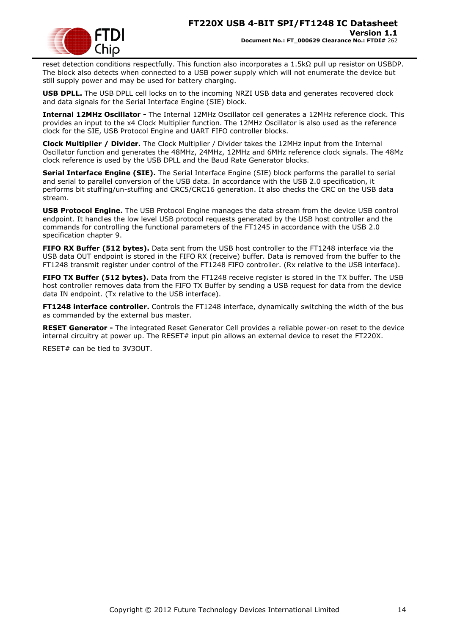

reset detection conditions respectfully. This function also incorporates a 1.5kΩ pull up resistor on USBDP. The block also detects when connected to a USB power supply which will not enumerate the device but still supply power and may be used for battery charging.

**USB DPLL.** The USB DPLL cell locks on to the incoming NRZI USB data and generates recovered clock and data signals for the Serial Interface Engine (SIE) block.

**Internal 12MHz Oscillator -** The Internal 12MHz Oscillator cell generates a 12MHz reference clock. This provides an input to the x4 Clock Multiplier function. The 12MHz Oscillator is also used as the reference clock for the SIE, USB Protocol Engine and UART FIFO controller blocks.

**Clock Multiplier / Divider.** The Clock Multiplier / Divider takes the 12MHz input from the Internal Oscillator function and generates the 48MHz, 24MHz, 12MHz and 6MHz reference clock signals. The 48Mz clock reference is used by the USB DPLL and the Baud Rate Generator blocks.

**Serial Interface Engine (SIE).** The Serial Interface Engine (SIE) block performs the parallel to serial and serial to parallel conversion of the USB data. In accordance with the USB 2.0 specification, it performs bit stuffing/un-stuffing and CRC5/CRC16 generation. It also checks the CRC on the USB data stream.

**USB Protocol Engine.** The USB Protocol Engine manages the data stream from the device USB control endpoint. It handles the low level USB protocol requests generated by the USB host controller and the commands for controlling the functional parameters of the FT1245 in accordance with the USB 2.0 specification chapter 9.

**FIFO RX Buffer (512 bytes).** Data sent from the USB host controller to the FT1248 interface via the USB data OUT endpoint is stored in the FIFO RX (receive) buffer. Data is removed from the buffer to the FT1248 transmit register under control of the FT1248 FIFO controller. (Rx relative to the USB interface).

**FIFO TX Buffer (512 bytes).** Data from the FT1248 receive register is stored in the TX buffer. The USB host controller removes data from the FIFO TX Buffer by sending a USB request for data from the device data IN endpoint. (Tx relative to the USB interface).

**FT1248 interface controller.** Controls the FT1248 interface, dynamically switching the width of the bus as commanded by the external bus master.

**RESET Generator -** The integrated Reset Generator Cell provides a reliable power-on reset to the device internal circuitry at power up. The RESET# input pin allows an external device to reset the FT220X.

RESET# can be tied to 3V3OUT.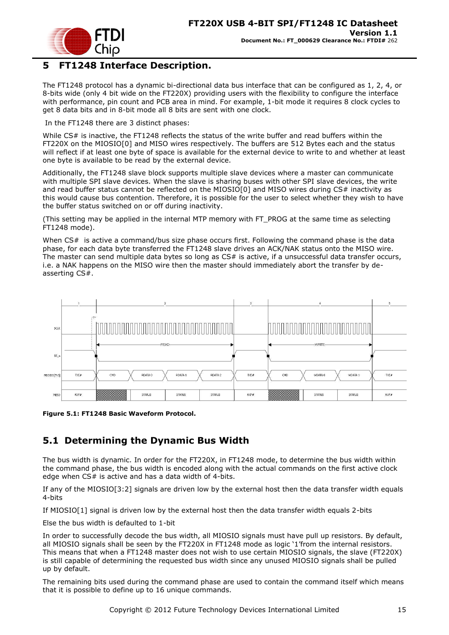

# <span id="page-14-0"></span>**5 FT1248 Interface Description.**

The FT1248 protocol has a dynamic bi-directional data bus interface that can be configured as 1, 2, 4, or 8-bits wide (only 4 bit wide on the FT220X) providing users with the flexibility to configure the interface with performance, pin count and PCB area in mind. For example, 1-bit mode it requires 8 clock cycles to get 8 data bits and in 8-bit mode all 8 bits are sent with one clock.

In the FT1248 there are 3 distinct phases:

While CS# is inactive, the FT1248 reflects the status of the write buffer and read buffers within the FT220X on the MIOSIO[0] and MISO wires respectively. The buffers are 512 Bytes each and the status will reflect if at least one byte of space is available for the external device to write to and whether at least one byte is available to be read by the external device.

Additionally, the FT1248 slave block supports multiple slave devices where a master can communicate with multiple SPI slave devices. When the slave is sharing buses with other SPI slave devices, the write and read buffer status cannot be reflected on the MIOSIO[0] and MISO wires during CS# inactivity as this would cause bus contention. Therefore, it is possible for the user to select whether they wish to have the buffer status switched on or off during inactivity.

(This setting may be applied in the internal MTP memory with FT\_PROG at the same time as selecting FT1248 mode).

When CS# is active a command/bus size phase occurs first. Following the command phase is the data phase, for each data byte transferred the FT1248 slave drives an ACK/NAK status onto the MISO wire. The master can send multiple data bytes so long as CS# is active, if a unsuccessful data transfer occurs, i.e. a NAK happens on the MISO wire then the master should immediately abort the transfer by deasserting CS#.



<span id="page-14-2"></span>**Figure 5.1: FT1248 Basic Waveform Protocol.**

# <span id="page-14-1"></span>**5.1 Determining the Dynamic Bus Width**

The bus width is dynamic. In order for the FT220X, in FT1248 mode, to determine the bus width within the command phase, the bus width is encoded along with the actual commands on the first active clock edge when  $CS#$  is active and has a data width of 4-bits.

If any of the MIOSIO[3:2] signals are driven low by the external host then the data transfer width equals 4-bits

If MIOSIO[1] signal is driven low by the external host then the data transfer width equals 2-bits

Else the bus width is defaulted to 1-bit

In order to successfully decode the bus width, all MIOSIO signals must have pull up resistors. By default, all MIOSIO signals shall be seen by the FT220X in FT1248 mode as logic "1"from the internal resistors. This means that when a FT1248 master does not wish to use certain MIOSIO signals, the slave (FT220X) is still capable of determining the requested bus width since any unused MIOSIO signals shall be pulled up by default.

The remaining bits used during the command phase are used to contain the command itself which means that it is possible to define up to 16 unique commands.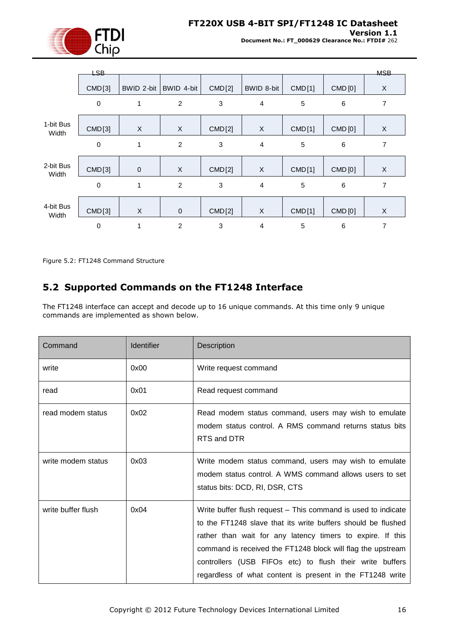

**Version 1.1**

**Document No.: FT\_000629 Clearance No.: FTDI#** 262

|                    | LSB-        |            |                |             |                |               |         | <b>MSB</b>     |
|--------------------|-------------|------------|----------------|-------------|----------------|---------------|---------|----------------|
|                    | CMD[3]      | BWID 2-bit | BWID 4-bit     | CMD[2]      | BWID 8-bit     | CMD[1]        | CMD [0] | X              |
|                    | $\mathbf 0$ | 1          | $\overline{c}$ | 3           | $\overline{4}$ | 5             | $\,6$   | $\overline{7}$ |
|                    |             |            |                |             |                |               |         |                |
| 1-bit Bus<br>Width | CMD[3]      | X          | X              | CMD[2]      | X              | CMD[1]        | CMD [0] | X              |
|                    | $\mathbf 0$ | 1          | $\overline{2}$ | 3           | $\overline{4}$ | 5             | 6       | $\overline{7}$ |
|                    |             |            |                |             |                |               |         |                |
| 2-bit Bus<br>Width | CMD[3]      | $\pmb{0}$  | X              | CMD[2]      | X              | CMD[1]        | CMD [0] | X              |
|                    | $\mathbf 0$ | 1          | $\overline{c}$ | $\mathbf 3$ | $\overline{4}$ | 5             | 6       | $\overline{7}$ |
|                    |             |            |                |             |                |               |         |                |
| 4-bit Bus<br>Width | CMD[3]      | X          | $\pmb{0}$      | CMD[2]      | X              | <b>CMD[1]</b> | CMD [0] | X              |
|                    | $\mathbf 0$ | 1          | $\overline{2}$ | 3           | $\overline{4}$ | 5             | 6       | 7              |

<span id="page-15-1"></span>Figure 5.2: FT1248 Command Structure

## <span id="page-15-0"></span>**5.2 Supported Commands on the FT1248 Interface**

The FT1248 interface can accept and decode up to 16 unique commands. At this time only 9 unique commands are implemented as shown below.

| Command            | <b>Identifier</b> | <b>Description</b>                                                                                                                                                                                                                                                                                                                                                                  |
|--------------------|-------------------|-------------------------------------------------------------------------------------------------------------------------------------------------------------------------------------------------------------------------------------------------------------------------------------------------------------------------------------------------------------------------------------|
| write              | 0x00              | Write request command                                                                                                                                                                                                                                                                                                                                                               |
| read               | 0x01              | Read request command                                                                                                                                                                                                                                                                                                                                                                |
| read modem status  | 0x02              | Read modem status command, users may wish to emulate<br>modem status control. A RMS command returns status bits<br>RTS and DTR                                                                                                                                                                                                                                                      |
| write modem status | 0x03              | Write modem status command, users may wish to emulate<br>modem status control. A WMS command allows users to set<br>status bits: DCD, RI, DSR, CTS                                                                                                                                                                                                                                  |
| write buffer flush | 0x04              | Write buffer flush request – This command is used to indicate<br>to the FT1248 slave that its write buffers should be flushed<br>rather than wait for any latency timers to expire. If this<br>command is received the FT1248 block will flag the upstream<br>controllers (USB FIFOs etc) to flush their write buffers<br>regardless of what content is present in the FT1248 write |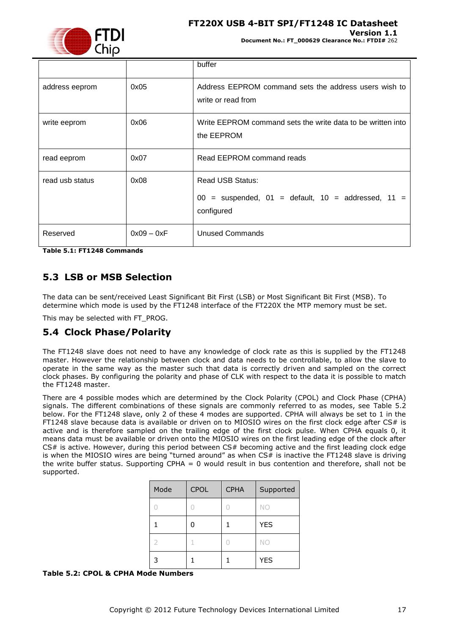### **FT220X USB 4-BIT SPI/FT1248 IC Datasheet**



**Document No.: FT\_000629 Clearance No.: FTDI#** 262

**Version 1.1**

|                 |              | buffer                                                                                              |
|-----------------|--------------|-----------------------------------------------------------------------------------------------------|
| address eeprom  | 0x05         | Address EEPROM command sets the address users wish to<br>write or read from                         |
| write eeprom    | 0x06         | Write EEPROM command sets the write data to be written into<br>the EEPROM                           |
| read eeprom     | 0x07         | Read EEPROM command reads                                                                           |
| read usb status | 0x08         | <b>Read USB Status:</b><br>$00 =$ suspended, $01 =$ default, $10 =$ addressed, $11 =$<br>configured |
| Reserved        | $0x09 - 0xF$ | <b>Unused Commands</b>                                                                              |

<span id="page-16-3"></span>**Table 5.1: FT1248 Commands**

### <span id="page-16-0"></span>**5.3 LSB or MSB Selection**

The data can be sent/received Least Significant Bit First (LSB) or Most Significant Bit First (MSB). To determine which mode is used by the FT1248 interface of the FT220X the MTP memory must be set.

This may be selected with FT\_PROG.

### <span id="page-16-1"></span>**5.4 Clock Phase/Polarity**

The FT1248 slave does not need to have any knowledge of clock rate as this is supplied by the FT1248 master. However the relationship between clock and data needs to be controllable, to allow the slave to operate in the same way as the master such that data is correctly driven and sampled on the correct clock phases. By configuring the polarity and phase of CLK with respect to the data it is possible to match the FT1248 master.

There are 4 possible modes which are determined by the Clock Polarity (CPOL) and Clock Phase (CPHA) signals. The different combinations of these signals are commonly referred to as modes, see [Table 5.2](#page-16-2) below. For the FT1248 slave, only 2 of these 4 modes are supported. CPHA will always be set to 1 in the FT1248 slave because data is available or driven on to MIOSIO wires on the first clock edge after CS# is active and is therefore sampled on the trailing edge of the first clock pulse. When CPHA equals 0, it means data must be available or driven onto the MIOSIO wires on the first leading edge of the clock after CS# is active. However, during this period between CS# becoming active and the first leading clock edge is when the MIOSIO wires are being "turned around" as when  $CS#$  is inactive the FT1248 slave is driving the write buffer status. Supporting CPHA = 0 would result in bus contention and therefore, shall not be supported.

| Mode | <b>CPOL</b> | <b>CPHA</b> | Supported  |
|------|-------------|-------------|------------|
|      |             |             | NO         |
|      | በ           |             | <b>YES</b> |
| 2    | 1           |             | NO         |
| 3    |             |             | <b>YES</b> |

#### <span id="page-16-2"></span>**Table 5.2: CPOL & CPHA Mode Numbers**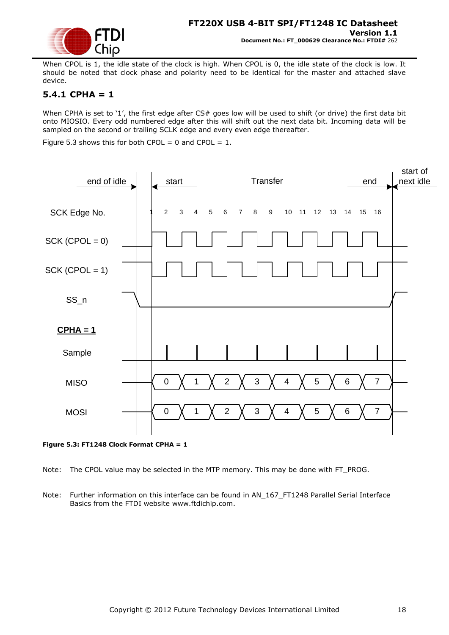

When CPOL is 1, the idle state of the clock is high. When CPOL is 0, the idle state of the clock is low. It should be noted that clock phase and polarity need to be identical for the master and attached slave device.

### <span id="page-17-0"></span>**5.4.1 CPHA = 1**

When CPHA is set to '1', the first edge after CS# goes low will be used to shift (or drive) the first data bit onto MIOSIO. Every odd numbered edge after this will shift out the next data bit. Incoming data will be sampled on the second or trailing SCLK edge and every even edge thereafter.

Figure 5.3 shows this for both CPOL =  $0$  and CPOL =  $1$ .



<span id="page-17-1"></span>**Figure 5.3: FT1248 Clock Format CPHA = 1**

Note: The CPOL value may be selected in the MTP memory. This may be done with FT\_PROG.

Note: Further information on this interface can be found in AN 167 FT1248 Parallel Serial Interface Basics from the FTDI website www.ftdichip.com.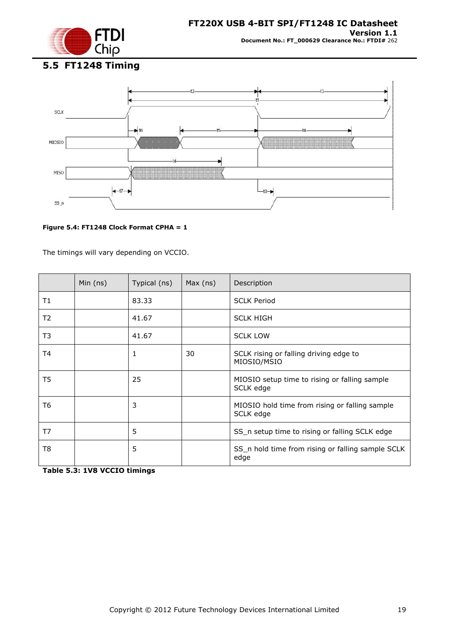

<span id="page-18-0"></span>**5.5 FT1248 Timing**



### <span id="page-18-1"></span>**Figure 5.4: FT1248 Clock Format CPHA = 1**

The timings will vary depending on VCCIO.

|    | Min $(ns)$ | Typical (ns) | Max (ns) | Description                                                 |
|----|------------|--------------|----------|-------------------------------------------------------------|
| T1 |            | 83.33        |          | <b>SCLK Period</b>                                          |
| T2 |            | 41.67        |          | <b>SCLK HIGH</b>                                            |
| T3 |            | 41.67        |          | <b>SCLK LOW</b>                                             |
| T4 |            | 1            | 30       | SCLK rising or falling driving edge to<br>MIOSIO/MSIO       |
| T5 |            | 25           |          | MIOSIO setup time to rising or falling sample<br>SCLK edge  |
| T6 |            | 3            |          | MIOSIO hold time from rising or falling sample<br>SCLK edge |
| T7 |            | 5            |          | SS_n setup time to rising or falling SCLK edge              |
| T8 |            | 5            |          | SS_n hold time from rising or falling sample SCLK<br>edge   |

<span id="page-18-2"></span>**Table 5.3: 1V8 VCCIO timings**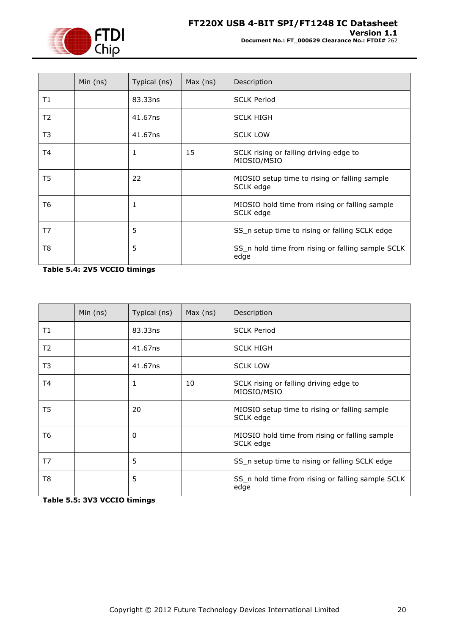

|                | Min $(ns)$ | Typical (ns) | Max (ns) | Description                                                 |
|----------------|------------|--------------|----------|-------------------------------------------------------------|
| T1             |            | 83.33ns      |          | <b>SCLK Period</b>                                          |
| T2             |            | 41.67ns      |          | <b>SCLK HIGH</b>                                            |
| T <sub>3</sub> |            | 41.67ns      |          | <b>SCLK LOW</b>                                             |
| T4             |            | 1            | 15       | SCLK rising or falling driving edge to<br>MIOSIO/MSIO       |
| T5             |            | 22           |          | MIOSIO setup time to rising or falling sample<br>SCLK edge  |
| T6             |            | 1            |          | MIOSIO hold time from rising or falling sample<br>SCLK edge |
| T7             |            | 5            |          | SS_n setup time to rising or falling SCLK edge              |
| T8             |            | 5            |          | SS_n hold time from rising or falling sample SCLK<br>edge   |

<span id="page-19-0"></span>**Table 5.4: 2V5 VCCIO timings** 

|                | Min $(ns)$ | Typical (ns) | Max (ns) | Description                                                 |
|----------------|------------|--------------|----------|-------------------------------------------------------------|
| T1             |            | 83.33ns      |          | <b>SCLK Period</b>                                          |
| T <sub>2</sub> |            | 41.67ns      |          | <b>SCLK HIGH</b>                                            |
| T3             |            | 41.67ns      |          | <b>SCLK LOW</b>                                             |
| T4             |            | 1            | 10       | SCLK rising or falling driving edge to<br>MIOSIO/MSIO       |
| T5             |            | 20           |          | MIOSIO setup time to rising or falling sample<br>SCLK edge  |
| T6             |            | 0            |          | MIOSIO hold time from rising or falling sample<br>SCLK edge |
| T7             |            | 5            |          | SS_n setup time to rising or falling SCLK edge              |
| T8             |            | 5            |          | SS_n hold time from rising or falling sample SCLK<br>edge   |

<span id="page-19-1"></span>**Table 5.5: 3V3 VCCIO timings**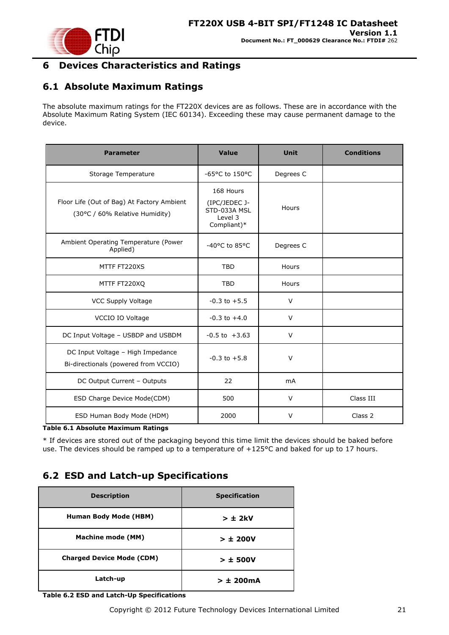

# <span id="page-20-0"></span>**6 Devices Characteristics and Ratings**

# <span id="page-20-1"></span>**6.1 Absolute Maximum Ratings**

The absolute maximum ratings for the FT220X devices are as follows. These are in accordance with the Absolute Maximum Rating System (IEC 60134). Exceeding these may cause permanent damage to the device.

| <b>Parameter</b>                                                             | <b>Value</b>                                                         | <b>Unit</b>    | <b>Conditions</b> |
|------------------------------------------------------------------------------|----------------------------------------------------------------------|----------------|-------------------|
| Storage Temperature                                                          | -65°C to 150°C                                                       | Degrees C      |                   |
| Floor Life (Out of Bag) At Factory Ambient<br>(30°C / 60% Relative Humidity) | 168 Hours<br>(IPC/JEDEC J-<br>STD-033A MSL<br>Level 3<br>Compliant)* | Hours          |                   |
| Ambient Operating Temperature (Power<br>Applied)                             | -40°C to 85°C                                                        | Degrees C      |                   |
| MTTF FT220XS                                                                 | <b>TBD</b>                                                           | Hours          |                   |
| MTTF FT220XQ                                                                 | <b>TBD</b>                                                           | Hours          |                   |
| VCC Supply Voltage                                                           | $-0.3$ to $+5.5$                                                     | $\vee$         |                   |
| VCCIO IO Voltage                                                             | $-0.3$ to $+4.0$                                                     | $\vee$         |                   |
| DC Input Voltage - USBDP and USBDM                                           | $-0.5$ to $+3.63$                                                    | $\vee$         |                   |
| DC Input Voltage - High Impedance<br>Bi-directionals (powered from VCCIO)    | $-0.3$ to $+5.8$                                                     | $\vee$         |                   |
| DC Output Current - Outputs                                                  | 22                                                                   | m <sub>A</sub> |                   |
| ESD Charge Device Mode(CDM)                                                  | 500                                                                  | $\vee$         | Class III         |
| ESD Human Body Mode (HDM)                                                    | 2000                                                                 | V              | Class 2           |

<span id="page-20-3"></span>**Table 6.1 Absolute Maximum Ratings**

\* If devices are stored out of the packaging beyond this time limit the devices should be baked before use. The devices should be ramped up to a temperature of +125°C and baked for up to 17 hours.

# <span id="page-20-2"></span>**6.2 ESD and Latch-up Specifications**

| <b>Description</b>               | <b>Specification</b> |
|----------------------------------|----------------------|
| Human Body Mode (HBM)            | $> \pm 2kV$          |
| <b>Machine mode (MM)</b>         | > 1200V              |
| <b>Charged Device Mode (CDM)</b> | $> \pm 500V$         |
| Latch-up                         | $> \pm 200$ mA       |

<span id="page-20-4"></span>**Table 6.2 ESD and Latch-Up Specifications**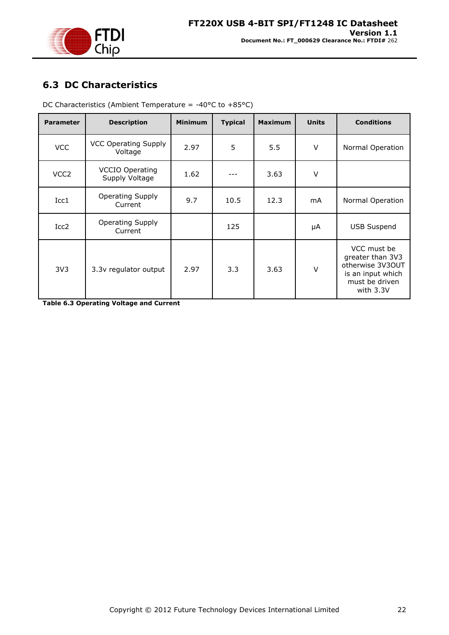

# <span id="page-21-0"></span>**6.3 DC Characteristics**

| <b>Parameter</b> | <b>Description</b>                       | <b>Minimum</b> | <b>Typical</b> | <b>Maximum</b> | <b>Units</b> | <b>Conditions</b>                                                                                       |
|------------------|------------------------------------------|----------------|----------------|----------------|--------------|---------------------------------------------------------------------------------------------------------|
| <b>VCC</b>       | <b>VCC Operating Supply</b><br>Voltage   | 2.97           | 5              | 5.5            | V            | Normal Operation                                                                                        |
| VCC <sub>2</sub> | <b>VCCIO Operating</b><br>Supply Voltage | 1.62           |                | 3.63           | $\vee$       |                                                                                                         |
| Icc1             | <b>Operating Supply</b><br>Current       | 9.7            | 10.5           | 12.3           | mA           | Normal Operation                                                                                        |
| Icc2             | <b>Operating Supply</b><br>Current       |                | 125            |                | μA           | <b>USB Suspend</b>                                                                                      |
| 3V <sub>3</sub>  | 3.3v regulator output                    | 2.97           | 3.3            | 3.63           | $\vee$       | VCC must be<br>greater than 3V3<br>otherwise 3V3OUT<br>is an input which<br>must be driven<br>with 3.3V |

DC Characteristics (Ambient Temperature =  $-40^{\circ}$ C to  $+85^{\circ}$ C)

<span id="page-21-1"></span>**Table 6.3 Operating Voltage and Current**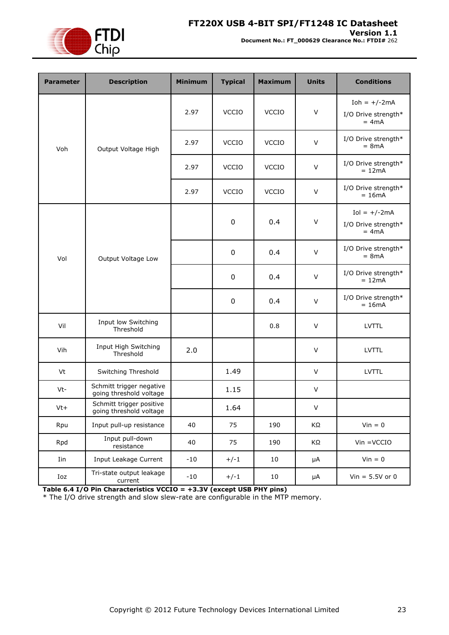

### **Version 1.1**

**Document No.: FT\_000629 Clearance No.: FTDI#** 262

| <b>Parameter</b> | <b>Description</b>                                  | <b>Minimum</b> | <b>Typical</b> | <b>Maximum</b> | <b>Units</b> | <b>Conditions</b>                                 |
|------------------|-----------------------------------------------------|----------------|----------------|----------------|--------------|---------------------------------------------------|
| Voh              |                                                     | 2.97           | <b>VCCIO</b>   | <b>VCCIO</b>   | $\vee$       | Ioh = $+/-2$ mA<br>I/O Drive strength*<br>$= 4mA$ |
|                  | Output Voltage High                                 | 2.97           | <b>VCCIO</b>   | <b>VCCIO</b>   | $\vee$       | I/O Drive strength*<br>$= 8mA$                    |
|                  |                                                     | 2.97           | <b>VCCIO</b>   | <b>VCCIO</b>   | $\vee$       | I/O Drive strength*<br>$= 12mA$                   |
|                  |                                                     | 2.97           | <b>VCCIO</b>   | <b>VCCIO</b>   | $\vee$       | I/O Drive strength*<br>$= 16mA$                   |
|                  |                                                     |                | $\pmb{0}$      | 0.4            | $\vee$       | $Iol = +/-2mA$<br>I/O Drive strength*<br>$= 4mA$  |
| Vol              | Output Voltage Low                                  |                | $\pmb{0}$      | 0.4            | $\vee$       | I/O Drive strength*<br>$= 8mA$                    |
|                  |                                                     |                | $\pmb{0}$      | 0.4            | $\vee$       | I/O Drive strength*<br>$= 12mA$                   |
|                  |                                                     |                | 0              | 0.4            | $\vee$       | I/O Drive strength*<br>$= 16mA$                   |
| Vil              | Input low Switching<br>Threshold                    |                |                | 0.8            | $\vee$       | <b>LVTTL</b>                                      |
| Vih              | Input High Switching<br>Threshold                   | 2.0            |                |                | $\vee$       | <b>LVTTL</b>                                      |
| Vt               | Switching Threshold                                 |                | 1.49           |                | V            | LVTTL                                             |
| Vt-              | Schmitt trigger negative<br>going threshold voltage |                | 1.15           |                | V            |                                                   |
| $Vt+$            | Schmitt trigger positive<br>going threshold voltage |                | 1.64           |                | V            |                                                   |
| Rpu              | Input pull-up resistance                            | 40             | 75             | 190            | KΩ           | $Vin = 0$                                         |
| Rpd              | Input pull-down<br>resistance                       | 40             | 75             | 190            | KΩ           | $V$ in = $VCCIO$                                  |
| Iin              | Input Leakage Current                               | $-10$          | $+/-1$         | 10             | $\mu A$      | $Vin = 0$                                         |
| Ioz              | Tri-state output leakage<br>current                 | $-10$          | $+/-1$         | 10             | μA           | Vin = $5.5V$ or 0                                 |

<span id="page-22-0"></span>**Table 6.4 I/O Pin Characteristics VCCIO = +3.3V (except USB PHY pins)**

\* The I/O drive strength and slow slew-rate are configurable in the MTP memory.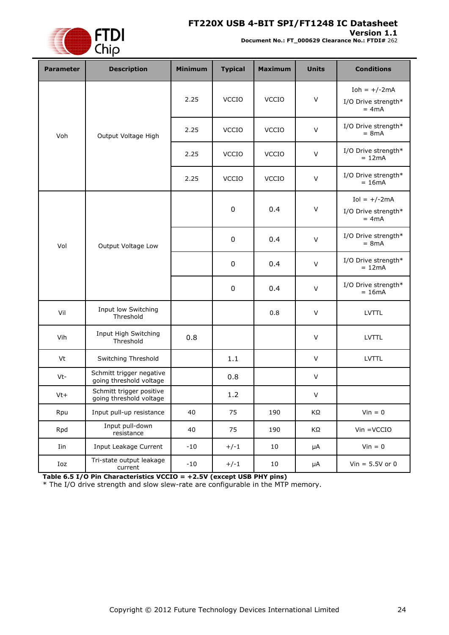### **FT220X USB 4-BIT SPI/FT1248 IC Datasheet**



**Version 1.1 Document No.: FT\_000629 Clearance No.: FTDI#** 262

| <b>Parameter</b> | <b>Description</b>                                  | <b>Minimum</b> | <b>Typical</b> | <b>Maximum</b> | <b>Units</b> | <b>Conditions</b>                                |
|------------------|-----------------------------------------------------|----------------|----------------|----------------|--------------|--------------------------------------------------|
|                  | Voh<br>Output Voltage High                          | 2.25           | <b>VCCIO</b>   | VCCIO          | $\vee$       | Ioh = $+/-2mA$<br>I/O Drive strength*<br>$= 4mA$ |
|                  |                                                     | 2.25           | <b>VCCIO</b>   | <b>VCCIO</b>   | $\sf V$      | I/O Drive strength*<br>$= 8mA$                   |
|                  |                                                     | 2.25           | <b>VCCIO</b>   | <b>VCCIO</b>   | V            | I/O Drive strength*<br>$= 12mA$                  |
|                  |                                                     | 2.25           | <b>VCCIO</b>   | <b>VCCIO</b>   | $\vee$       | I/O Drive strength*<br>$= 16mA$                  |
|                  |                                                     |                | $\pmb{0}$      | 0.4            | $\vee$       | $Iol = +/-2mA$<br>I/O Drive strength*<br>$= 4mA$ |
| Vol              | Output Voltage Low                                  |                | $\pmb{0}$      | 0.4            | $\sf V$      | I/O Drive strength*<br>$= 8mA$                   |
|                  |                                                     |                | $\pmb{0}$      | 0.4            | V            | I/O Drive strength*<br>$= 12mA$                  |
|                  |                                                     |                | $\pmb{0}$      | 0.4            | $\vee$       | I/O Drive strength*<br>$= 16mA$                  |
| Vil              | Input low Switching<br>Threshold                    |                |                | 0.8            | $\vee$       | <b>LVTTL</b>                                     |
| Vih              | Input High Switching<br>Threshold                   | 0.8            |                |                | V            | <b>LVTTL</b>                                     |
| Vt               | Switching Threshold                                 |                | 1.1            |                | $\vee$       | <b>LVTTL</b>                                     |
| Vt-              | Schmitt trigger negative<br>going threshold voltage |                | 0.8            |                | V            |                                                  |
| $Vt+$            | Schmitt trigger positive<br>going threshold voltage |                | 1.2            |                | V            |                                                  |
| Rpu              | Input pull-up resistance                            | 40             | 75             | 190            | KΩ           | $Vin = 0$                                        |
| Rpd              | Input pull-down<br>resistance                       | 40             | 75             | 190            | KΩ           | $V$ in = $V$ CCIO                                |
| Iin              | Input Leakage Current                               | $-10$          | $+/-1$         | 10             | μA           | $V$ in = 0                                       |
| Ioz              | Tri-state output leakage<br>current                 | $-10$          | $+/-1$         | 10             | μA           | Vin = $5.5V$ or 0                                |

<span id="page-23-0"></span>**Table 6.5 I/O Pin Characteristics VCCIO = +2.5V (except USB PHY pins)**

\* The I/O drive strength and slow slew-rate are configurable in the MTP memory.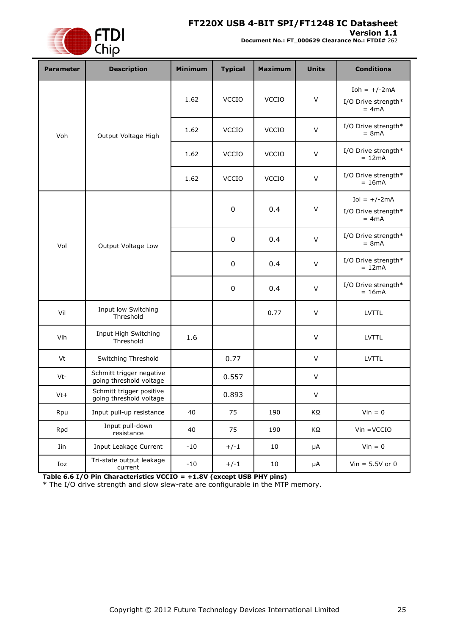### **FT220X USB 4-BIT SPI/FT1248 IC Datasheet**



**Version 1.1 Document No.: FT\_000629 Clearance No.: FTDI#** 262

| <b>Parameter</b> | <b>Description</b>                                  | <b>Minimum</b> | <b>Typical</b> | <b>Maximum</b> | <b>Units</b> | <b>Conditions</b>                                 |
|------------------|-----------------------------------------------------|----------------|----------------|----------------|--------------|---------------------------------------------------|
|                  |                                                     | 1.62           | VCCIO          | <b>VCCIO</b>   | $\vee$       | Ioh = $+/-2$ mA<br>I/O Drive strength*<br>$= 4mA$ |
| Voh              | Output Voltage High                                 | 1.62           | <b>VCCIO</b>   | <b>VCCIO</b>   | $\vee$       | I/O Drive strength*<br>$= 8mA$                    |
|                  |                                                     | 1.62           | <b>VCCIO</b>   | <b>VCCIO</b>   | $\vee$       | I/O Drive strength*<br>$= 12mA$                   |
|                  |                                                     | 1.62           | <b>VCCIO</b>   | <b>VCCIO</b>   | $\vee$       | I/O Drive strength*<br>$= 16mA$                   |
|                  |                                                     |                | $\pmb{0}$      | 0.4            | $\vee$       | $Iol = +/-2mA$<br>I/O Drive strength*<br>$= 4mA$  |
| Vol              | Output Voltage Low                                  |                | 0              | 0.4            | $\vee$       | I/O Drive strength*<br>$= 8mA$                    |
|                  |                                                     |                | $\pmb{0}$      | 0.4            | $\vee$       | I/O Drive strength*<br>$= 12mA$                   |
|                  |                                                     |                | 0              | 0.4            | V            | I/O Drive strength*<br>$= 16mA$                   |
| Vil              | Input low Switching<br>Threshold                    |                |                | 0.77           | $\vee$       | <b>LVTTL</b>                                      |
| Vih              | Input High Switching<br>Threshold                   | 1.6            |                |                | $\vee$       | <b>LVTTL</b>                                      |
| Vt               | Switching Threshold                                 |                | 0.77           |                | $\vee$       | <b>LVTTL</b>                                      |
| Vt-              | Schmitt trigger negative<br>going threshold voltage |                | 0.557          |                | $\vee$       |                                                   |
| $Vt+$            | Schmitt trigger positive<br>going threshold voltage |                | 0.893          |                | $\vee$       |                                                   |
| Rpu              | Input pull-up resistance                            | 40             | 75             | 190            | ΚΩ           | $Vin = 0$                                         |
| Rpd              | Input pull-down<br>resistance                       | 40             | 75             | 190            | ΚΩ           | $V$ in = $VCCIO$                                  |
| Iin              | Input Leakage Current                               | $-10$          | $+/-1$         | 10             | μA           | $Vin = 0$                                         |
| Ioz              | Tri-state output leakage<br>current                 | $-10$          | $+/-1$         | 10             | μA           | $Vin = 5.5V$ or 0                                 |

<span id="page-24-0"></span>**Table 6.6 I/O Pin Characteristics VCCIO = +1.8V (except USB PHY pins)**

\* The I/O drive strength and slow slew-rate are configurable in the MTP memory.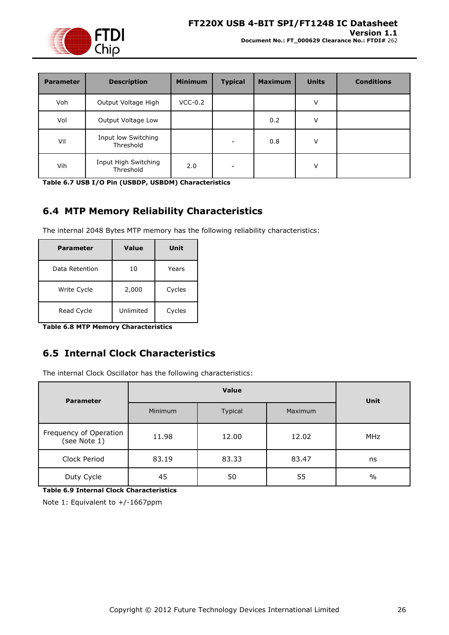

**Document No.: FT\_000629 Clearance No.: FTDI#** 262

| <b>Parameter</b> | <b>Description</b>                | <b>Minimum</b> | <b>Typical</b> | <b>Maximum</b> | <b>Units</b> | <b>Conditions</b> |
|------------------|-----------------------------------|----------------|----------------|----------------|--------------|-------------------|
| Voh              | Output Voltage High               | $VCC-0.2$      |                |                | V            |                   |
| Vol              | Output Voltage Low                |                |                | 0.2            | V            |                   |
| Vil              | Input low Switching<br>Threshold  |                |                | 0.8            | V            |                   |
| Vih              | Input High Switching<br>Threshold | 2.0            |                |                | V            |                   |

<span id="page-25-2"></span>**Table 6.7 USB I/O Pin (USBDP, USBDM) Characteristics**

# <span id="page-25-0"></span>**6.4 MTP Memory Reliability Characteristics**

The internal 2048 Bytes MTP memory has the following reliability characteristics:

| Parameter      | Value     | Unit   |
|----------------|-----------|--------|
| Data Retention | 10        | Years  |
| Write Cycle    | 2,000     | Cycles |
| Read Cycle     | Unlimited | Cycles |

<span id="page-25-3"></span>**Table 6.8 MTP Memory Characteristics**

# <span id="page-25-1"></span>**6.5 Internal Clock Characteristics**

The internal Clock Oscillator has the following characteristics:

| <b>Parameter</b>                       |                | <b>Unit</b> |         |               |  |
|----------------------------------------|----------------|-------------|---------|---------------|--|
|                                        | <b>Minimum</b> | Typical     | Maximum |               |  |
| Frequency of Operation<br>(see Note 1) | 11.98          | 12.00       | 12.02   | <b>MHz</b>    |  |
| Clock Period                           | 83.19          | 83.33       | 83.47   | ns            |  |
| Duty Cycle                             | 45             | 50          | 55      | $\frac{0}{0}$ |  |

<span id="page-25-4"></span>**Table 6.9 Internal Clock Characteristics**

Note 1: Equivalent to +/-1667ppm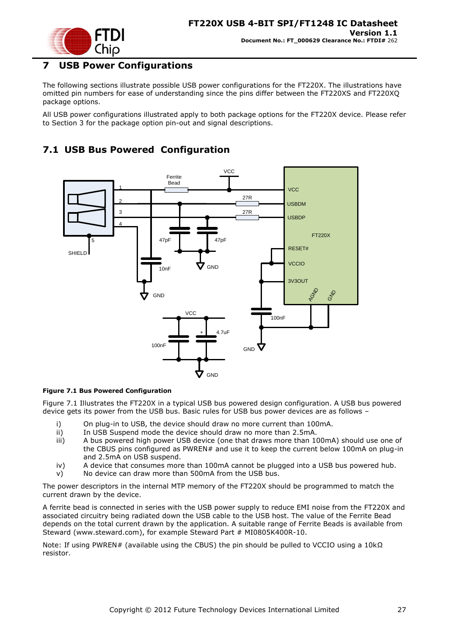

# <span id="page-26-0"></span>**7 USB Power Configurations**

The following sections illustrate possible USB power configurations for the FT220X. The illustrations have omitted pin numbers for ease of understanding since the pins differ between the FT220XS and FT220XQ package options.

All USB power configurations illustrated apply to both package options for the FT220X device. Please refer to Section [3](#page-6-0) for the package option pin-out and signal descriptions.

# <span id="page-26-1"></span>**7.1 USB Bus Powered Configuration**



#### <span id="page-26-2"></span>**Figure 7.1 Bus Powered Configuration**

[Figure 7.1](#page-26-2) Illustrates the FT220X in a typical USB bus powered design configuration. A USB bus powered device gets its power from the USB bus. Basic rules for USB bus power devices are as follows –

- i) On plug-in to USB, the device should draw no more current than 100mA.
- ii) In USB Suspend mode the device should draw no more than 2.5mA.
- iii) A bus powered high power USB device (one that draws more than 100mA) should use one of the CBUS pins configured as PWREN# and use it to keep the current below 100mA on plug-in and 2.5mA on USB suspend.
- iv) A device that consumes more than 100mA cannot be plugged into a USB bus powered hub.
- v) No device can draw more than 500mA from the USB bus.

The power descriptors in the internal MTP memory of the FT220X should be programmed to match the current drawn by the device.

A ferrite bead is connected in series with the USB power supply to reduce EMI noise from the FT220X and associated circuitry being radiated down the USB cable to the USB host. The value of the Ferrite Bead depends on the total current drawn by the application. A suitable range of Ferrite Beads is available from Steward [\(www.steward.com\)](file://glaspssv1/General/Engineering/Engineering%20_Documents/DS_FT232R/DS_FT232R_V200/www.steward.com), for example Steward Part # MI0805K400R-10.

Note: If using PWREN# (available using the CBUS) the pin should be pulled to VCCIO using a 10kΩ resistor.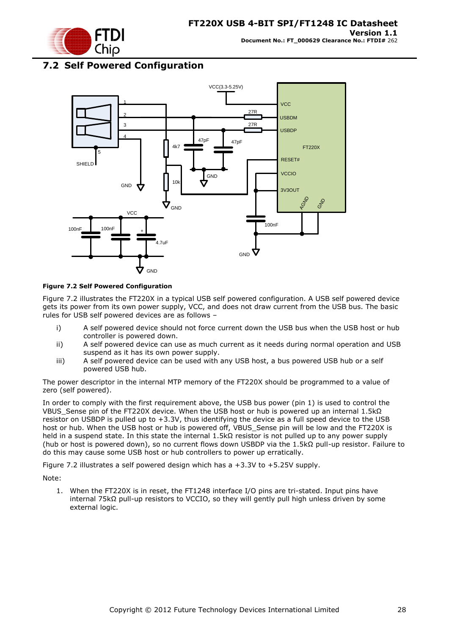

### <span id="page-27-0"></span>**7.2 Self Powered Configuration**



#### <span id="page-27-1"></span>**Figure 7.2 Self Powered Configuration**

[Figure 7.2](#page-27-1) illustrates the FT220X in a typical USB self powered configuration. A USB self powered device gets its power from its own power supply, VCC, and does not draw current from the USB bus. The basic rules for USB self powered devices are as follows –

- i) A self powered device should not force current down the USB bus when the USB host or hub controller is powered down.
- ii) A self powered device can use as much current as it needs during normal operation and USB suspend as it has its own power supply.
- iii) A self powered device can be used with any USB host, a bus powered USB hub or a self powered USB hub.

The power descriptor in the internal MTP memory of the FT220X should be programmed to a value of zero (self powered).

In order to comply with the first requirement above, the USB bus power (pin 1) is used to control the VBUS\_Sense pin of the FT220X device. When the USB host or hub is powered up an internal 1.5kΩ resistor on USBDP is pulled up to +3.3V, thus identifying the device as a full speed device to the USB host or hub. When the USB host or hub is powered off, VBUS Sense pin will be low and the FT220X is held in a suspend state. In this state the internal 1.5kΩ resistor is not pulled up to any power supply (hub or host is powered down), so no current flows down USBDP via the 1.5kΩ pull-up resistor. Failure to do this may cause some USB host or hub controllers to power up erratically.

[Figure 7.2](#page-27-1) illustrates a self powered design which has a +3.3V to +5.25V supply.

Note:

1. When the FT220X is in reset, the FT1248 interface I/O pins are tri-stated. Input pins have internal 75kΩ pull-up resistors to VCCIO, so they will gently pull high unless driven by some external logic.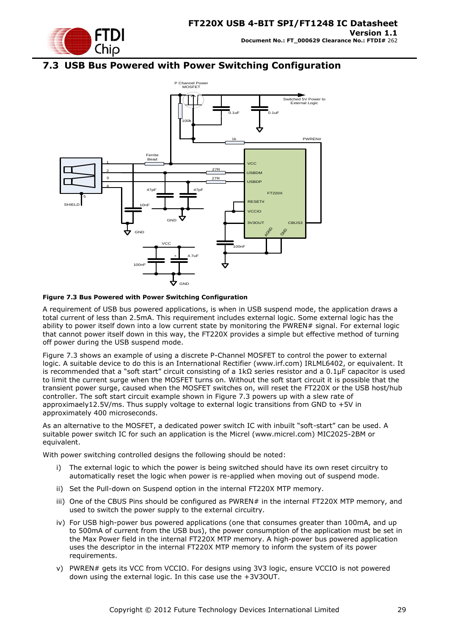

### <span id="page-28-0"></span>**7.3 USB Bus Powered with Power Switching Configuration**



#### <span id="page-28-1"></span>**Figure 7.3 Bus Powered with Power Switching Configuration**

A requirement of USB bus powered applications, is when in USB suspend mode, the application draws a total current of less than 2.5mA. This requirement includes external logic. Some external logic has the ability to power itself down into a low current state by monitoring the PWREN# signal. For external logic that cannot power itself down in this way, the FT220X provides a simple but effective method of turning off power during the USB suspend mode.

[Figure 7.3](#page-28-1) shows an example of using a discrete P-Channel MOSFET to control the power to external logic. A suitable device to do this is an International Rectifier (www.irf.com) IRLML6402, or equivalent. It is recommended that a "soft start" circuit consisting of a 1kΩ series resistor and a 0.1μF capacitor is used to limit the current surge when the MOSFET turns on. Without the soft start circuit it is possible that the transient power surge, caused when the MOSFET switches on, will reset the FT220X or the USB host/hub controller. The soft start circuit example shown in [Figure 7.3](#page-28-1) powers up with a slew rate of approximaely12.5V/ms. Thus supply voltage to external logic transitions from GND to +5V in approximately 400 microseconds.

As an alternative to the MOSFET, a dedicated power switch IC with inbuilt "soft-start" can be used. A suitable power switch IC for such an application is the Micrel [\(www.micrel.com\)](file://glaspssv1/General/Engineering/Engineering%20_Documents/DS_FT232R/DS_FT232R_V200/www.micrel.com) MIC2025-2BM or equivalent.

With power switching controlled designs the following should be noted:

- i) The external logic to which the power is being switched should have its own reset circuitry to automatically reset the logic when power is re-applied when moving out of suspend mode.
- ii) Set the Pull-down on Suspend option in the internal FT220X MTP memory.
- iii) One of the CBUS Pins should be configured as PWREN# in the internal FT220X MTP memory, and used to switch the power supply to the external circuitry.
- iv) For USB high-power bus powered applications (one that consumes greater than 100mA, and up to 500mA of current from the USB bus), the power consumption of the application must be set in the Max Power field in the internal FT220X MTP memory. A high-power bus powered application uses the descriptor in the internal FT220X MTP memory to inform the system of its power requirements.
- v) PWREN# gets its VCC from VCCIO. For designs using 3V3 logic, ensure VCCIO is not powered down using the external logic. In this case use the +3V3OUT.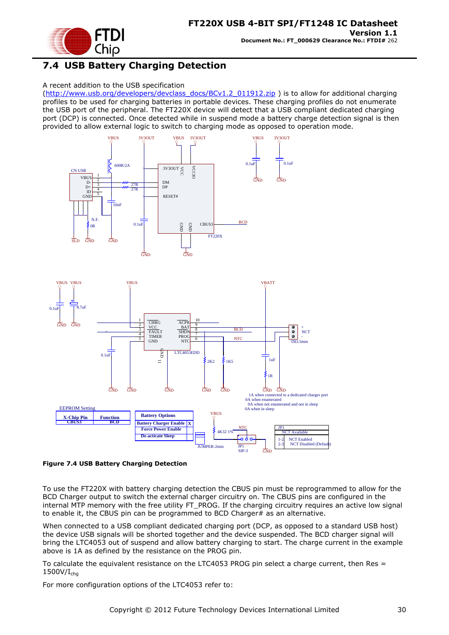

# <span id="page-29-0"></span>**7.4 USB Battery Charging Detection**

#### A recent addition to the USB specification

[\(http://www.usb.org/developers/devclass\\_docs/BCv1.2\\_011912.zip](http://www.usb.org/developers/devclass_docs/BCv1.2_011912.zip) ) is to allow for additional charging profiles to be used for charging batteries in portable devices. These charging profiles do not enumerate the USB port of the peripheral. The FT220X device will detect that a USB compliant dedicated charging port (DCP) is connected. Once detected while in suspend mode a battery charge detection signal is then provided to allow external logic to switch to charging mode as opposed to operation mode.



<span id="page-29-1"></span>**Figure 7.4 USB Battery Charging Detection**

To use the FT220X with battery charging detection the CBUS pin must be reprogrammed to allow for the BCD Charger output to switch the external charger circuitry on. The CBUS pins are configured in the internal MTP memory with the free utility FT\_PROG. If the charging circuitry requires an active low signal to enable it, the CBUS pin can be programmed to BCD Charger# as an alternative.

When connected to a USB compliant dedicated charging port (DCP, as opposed to a standard USB host) the device USB signals will be shorted together and the device suspended. The BCD charger signal will bring the LTC4053 out of suspend and allow battery charging to start. The charge current in the example above is 1A as defined by the resistance on the PROG pin.

To calculate the equivalent resistance on the LTC4053 PROG pin select a charge current, then Res =  $1500V/I<sub>cha</sub>$ 

For more configuration options of the LTC4053 refer to: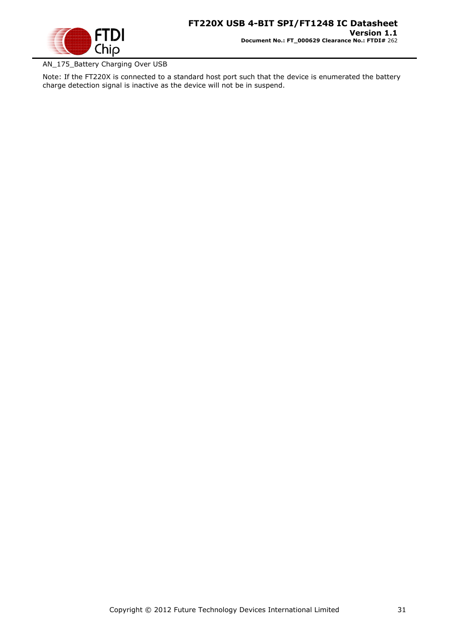

### AN\_175\_Battery Charging Over USB

Note: If the FT220X is connected to a standard host port such that the device is enumerated the battery charge detection signal is inactive as the device will not be in suspend.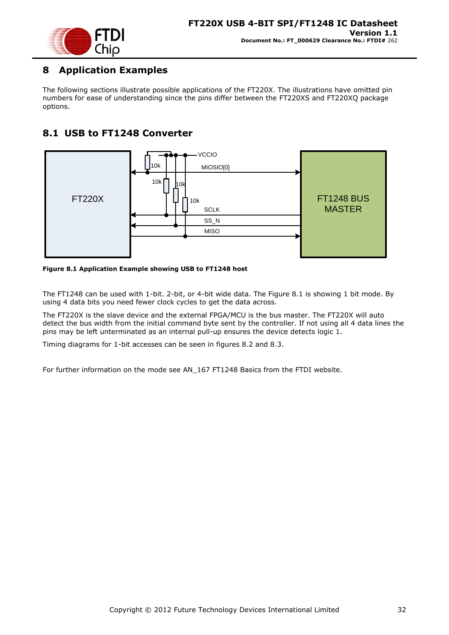

# <span id="page-31-0"></span>**8 Application Examples**

The following sections illustrate possible applications of the FT220X. The illustrations have omitted pin numbers for ease of understanding since the pins differ between the FT220XS and FT220XQ package options.

# <span id="page-31-1"></span>**8.1 USB to FT1248 Converter**



<span id="page-31-2"></span>**Figure 8.1 Application Example showing USB to FT1248 host**

The FT1248 can be used with 1-bit. 2-bit, or 4-bit wide data. The Figure 8.1 is showing 1 bit mode. By using 4 data bits you need fewer clock cycles to get the data across.

The FT220X is the slave device and the external FPGA/MCU is the bus master. The FT220X will auto detect the bus width from the initial command byte sent by the controller. If not using all 4 data lines the pins may be left unterminated as an internal pull-up ensures the device detects logic 1.

Timing diagrams for 1-bit accesses can be seen in figures 8.2 and 8.3.

For further information on the mode see AN\_167 FT1248 Basics from the FTDI website.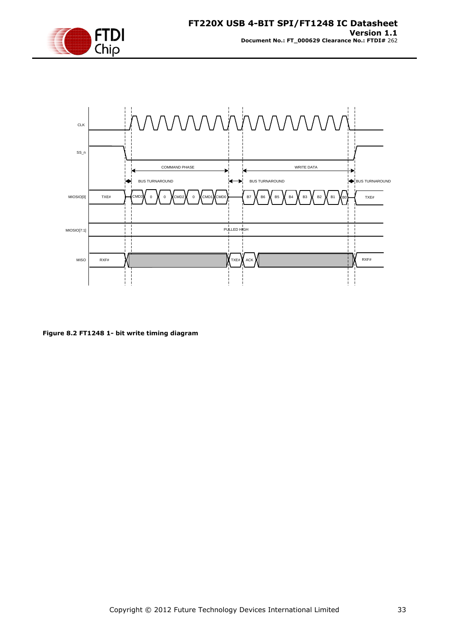



<span id="page-32-0"></span>**Figure 8.2 FT1248 1- bit write timing diagram**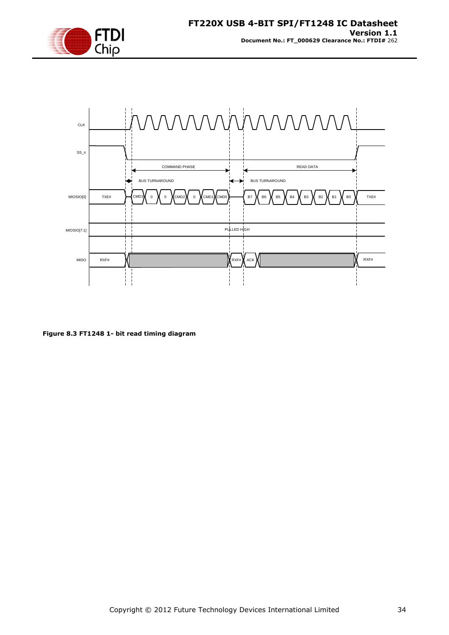



<span id="page-33-0"></span>**Figure 8.3 FT1248 1- bit read timing diagram**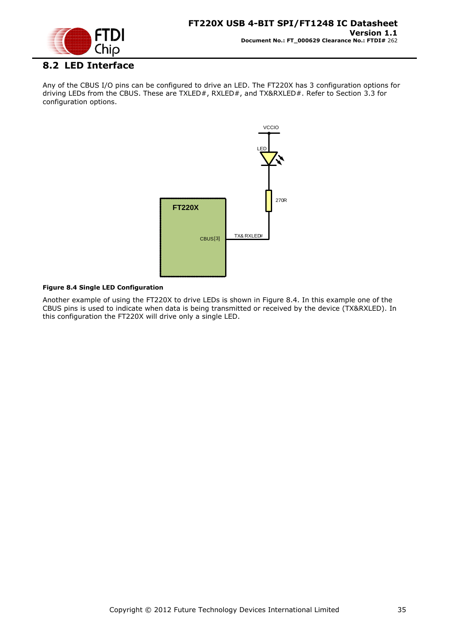

# <span id="page-34-0"></span>**8.2 LED Interface**

Any of the CBUS I/O pins can be configured to drive an LED. The FT220X has 3 configuration options for driving LEDs from the CBUS. These are TXLED#, RXLED#, and TX&RXLED#. Refer to Section [3.3](#page-10-0) for configuration options.



#### <span id="page-34-1"></span>**Figure 8.4 Single LED Configuration**

Another example of using the FT220X to drive LEDs is shown in [Figure 8.4.](#page-34-1) In this example one of the CBUS pins is used to indicate when data is being transmitted or received by the device (TX&RXLED). In this configuration the FT220X will drive only a single LED.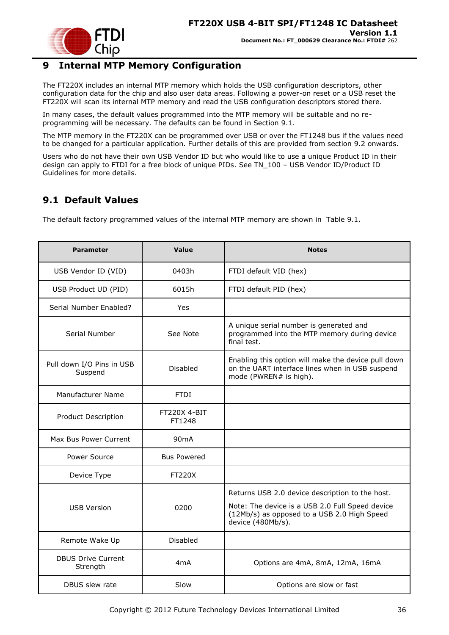

# <span id="page-35-0"></span>**9 Internal MTP Memory Configuration**

The FT220X includes an internal MTP memory which holds the USB configuration descriptors, other configuration data for the chip and also user data areas. Following a power-on reset or a USB reset the FT220X will scan its internal MTP memory and read the USB configuration descriptors stored there.

In many cases, the default values programmed into the MTP memory will be suitable and no reprogramming will be necessary. The defaults can be found in Section [9.1.](#page-35-1)

The MTP memory in the FT220X can be programmed over USB or over the FT1248 bus if the values need to be changed for a particular application. Further details of this are provided from section [9.2](#page-36-0) onwards.

Users who do not have their own USB Vendor ID but who would like to use a unique Product ID in their design can apply to FTDI for a free block of unique PIDs. See TN\_100 – USB Vendor ID/Product ID Guidelines for more details.

# <span id="page-35-1"></span>**9.1 Default Values**

The default factory programmed values of the internal MTP memory are shown in [Table 9.1.](#page-36-3)

| <b>Parameter</b>                                          | Value                  | <b>Notes</b>                                                                                                                                                           |
|-----------------------------------------------------------|------------------------|------------------------------------------------------------------------------------------------------------------------------------------------------------------------|
| USB Vendor ID (VID)                                       | 0403h                  | FTDI default VID (hex)                                                                                                                                                 |
| USB Product UD (PID)                                      | 6015h                  | FTDI default PID (hex)                                                                                                                                                 |
| Serial Number Enabled?                                    | Yes                    |                                                                                                                                                                        |
| Serial Number                                             | See Note               | A unique serial number is generated and<br>programmed into the MTP memory during device<br>final test.                                                                 |
| Pull down I/O Pins in USB<br>Suspend                      | <b>Disabled</b>        | Enabling this option will make the device pull down<br>on the UART interface lines when in USB suspend<br>mode (PWREN# is high).                                       |
| Manufacturer Name                                         | <b>FTDI</b>            |                                                                                                                                                                        |
| Product Description                                       | FT220X 4-BIT<br>FT1248 |                                                                                                                                                                        |
| Max Bus Power Current                                     | 90 <sub>m</sub> A      |                                                                                                                                                                        |
| Power Source                                              | <b>Bus Powered</b>     |                                                                                                                                                                        |
| Device Type                                               | <b>FT220X</b>          |                                                                                                                                                                        |
| <b>USB Version</b><br>0200                                |                        | Returns USB 2.0 device description to the host.<br>Note: The device is a USB 2.0 Full Speed device<br>(12Mb/s) as opposed to a USB 2.0 High Speed<br>device (480Mb/s). |
| Remote Wake Up                                            | Disabled               |                                                                                                                                                                        |
| <b>DBUS Drive Current</b><br>4 <sub>m</sub> A<br>Strength |                        | Options are 4mA, 8mA, 12mA, 16mA                                                                                                                                       |
| DBUS slew rate<br>Slow                                    |                        | Options are slow or fast                                                                                                                                               |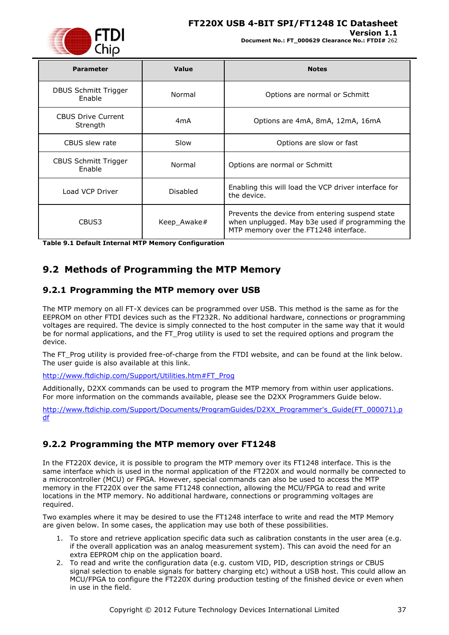

### **FT220X USB 4-BIT SPI/FT1248 IC Datasheet**

#### **Version 1.1**

**Document No.: FT\_000629 Clearance No.: FTDI#** 262

| <b>Parameter</b>                      | Value            | <b>Notes</b>                                                                                                                                |
|---------------------------------------|------------------|---------------------------------------------------------------------------------------------------------------------------------------------|
| DBUS Schmitt Trigger<br>Enable        | Normal           | Options are normal or Schmitt                                                                                                               |
| <b>CBUS Drive Current</b><br>Strength | 4 <sub>m</sub> A | Options are 4mA, 8mA, 12mA, 16mA                                                                                                            |
| CBUS slew rate                        | Slow             | Options are slow or fast                                                                                                                    |
| <b>CBUS Schmitt Trigger</b><br>Enable | Normal           | Options are normal or Schmitt                                                                                                               |
| Load VCP Driver                       | Disabled         | Enabling this will load the VCP driver interface for<br>the device.                                                                         |
| CBUS3                                 | Keep_Awake#      | Prevents the device from entering suspend state<br>when unplugged. May b3e used if programming the<br>MTP memory over the FT1248 interface. |

<span id="page-36-3"></span>**Table 9.1 Default Internal MTP Memory Configuration**

### <span id="page-36-0"></span>**9.2 Methods of Programming the MTP Memory**

### <span id="page-36-1"></span>**9.2.1 Programming the MTP memory over USB**

The MTP memory on all FT-X devices can be programmed over USB. This method is the same as for the EEPROM on other FTDI devices such as the FT232R. No additional hardware, connections or programming voltages are required. The device is simply connected to the host computer in the same way that it would be for normal applications, and the FT\_Prog utility is used to set the required options and program the device.

The FT\_Prog utility is provided free-of-charge from the FTDI website, and can be found at the link below. The user guide is also available at this link.

[http://www.ftdichip.com/Support/Utilities.htm#FT\\_Prog](http://www.ftdichip.com/Support/Utilities.htm#FT_Prog)

Additionally, D2XX commands can be used to program the MTP memory from within user applications. For more information on the commands available, please see the D2XX Programmers Guide below.

[http://www.ftdichip.com/Support/Documents/ProgramGuides/D2XX\\_Programmer's\\_Guide\(FT\\_000071\).p](http://www.ftdichip.com/Support/Documents/ProgramGuides/D2XX_Programmer) [df](http://www.ftdichip.com/Support/Documents/ProgramGuides/D2XX_Programmer)

### <span id="page-36-2"></span>**9.2.2 Programming the MTP memory over FT1248**

In the FT220X device, it is possible to program the MTP memory over its FT1248 interface. This is the same interface which is used in the normal application of the FT220X and would normally be connected to a microcontroller (MCU) or FPGA. However, special commands can also be used to access the MTP memory in the FT220X over the same FT1248 connection, allowing the MCU/FPGA to read and write locations in the MTP memory. No additional hardware, connections or programming voltages are required.

Two examples where it may be desired to use the FT1248 interface to write and read the MTP Memory are given below. In some cases, the application may use both of these possibilities.

- 1. To store and retrieve application specific data such as calibration constants in the user area (e.g. if the overall application was an analog measurement system). This can avoid the need for an extra EEPROM chip on the application board.
- 2. To read and write the configuration data (e.g. custom VID, PID, description strings or CBUS signal selection to enable signals for battery charging etc) without a USB host. This could allow an MCU/FPGA to configure the FT220X during production testing of the finished device or even when in use in the field.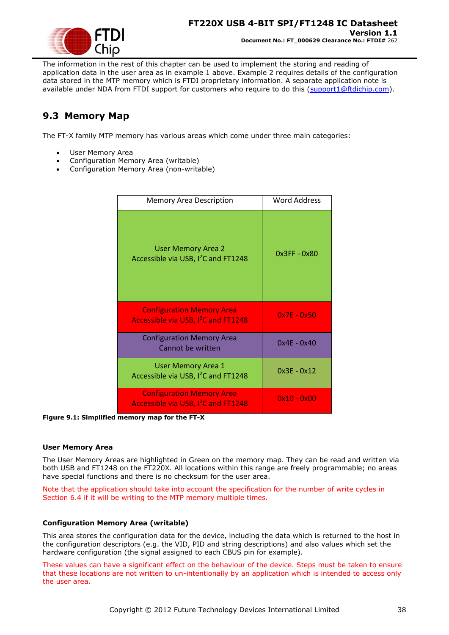

The information in the rest of this chapter can be used to implement the storing and reading of application data in the user area as in example 1 above. Example 2 requires details of the configuration data stored in the MTP memory which is FTDI proprietary information. A separate application note is available under NDA from FTDI support for customers who require to do this [\(support1@ftdichip.com\)](mailto:support1@ftdichip.com).

# <span id="page-37-0"></span>**9.3 Memory Map**

The FT-X family MTP memory has various areas which come under three main categories:

- User Memory Area
- Configuration Memory Area (writable)
- Configuration Memory Area (non-writable)

| <b>Memory Area Description</b>                                                      | <b>Word Address</b> |
|-------------------------------------------------------------------------------------|---------------------|
| <b>User Memory Area 2</b><br>Accessible via USB, I <sup>2</sup> C and FT1248        | 0x3FF - 0x80        |
| <b>Configuration Memory Area</b><br>Accessible via USB, I <sup>2</sup> C and FT1248 | $0x7E - 0x50$       |
| <b>Configuration Memory Area</b><br>Cannot be written                               | $0x4F - 0x40$       |
| <b>User Memory Area 1</b><br>Accessible via USB, I <sup>2</sup> C and FT1248        | $0x3E - 0x12$       |
| <b>Configuration Memory Area</b><br>Accessible via USB, I <sup>2</sup> C and FT1248 | $0x10 - 0x00$       |

<span id="page-37-1"></span>**Figure 9.1: Simplified memory map for the FT-X**

#### **User Memory Area**

The User Memory Areas are highlighted in Green on the memory map. They can be read and written via both USB and FT1248 on the FT220X. All locations within this range are freely programmable; no areas have special functions and there is no checksum for the user area.

Note that the application should take into account the specification for the number of write cycles in Section [6.4](#page-25-0) if it will be writing to the MTP memory multiple times.

#### **Configuration Memory Area (writable)**

This area stores the configuration data for the device, including the data which is returned to the host in the configuration descriptors (e.g. the VID, PID and string descriptions) and also values which set the hardware configuration (the signal assigned to each CBUS pin for example).

These values can have a significant effect on the behaviour of the device. Steps must be taken to ensure that these locations are not written to un-intentionally by an application which is intended to access only the user area.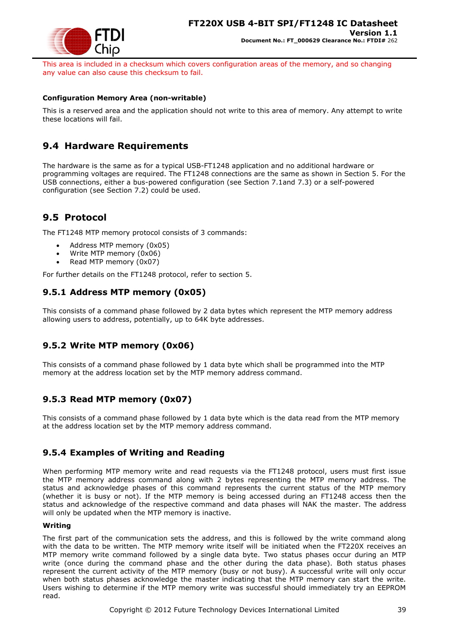

This area is included in a checksum which covers configuration areas of the memory, and so changing any value can also cause this checksum to fail.

#### **Configuration Memory Area (non-writable)**

This is a reserved area and the application should not write to this area of memory. Any attempt to write these locations will fail.

### <span id="page-38-0"></span>**9.4 Hardware Requirements**

The hardware is the same as for a typical USB-FT1248 application and no additional hardware or programming voltages are required. The FT1248 connections are the same as shown in Section [5.](#page-14-0) For the USB connections, either a bus-powered configuration (see Section [7.1a](#page-26-1)nd [7.3\)](#page-28-0) or a self-powered configuration (see Section [7.2\)](#page-27-0) could be used.

### <span id="page-38-1"></span>**9.5 Protocol**

The FT1248 MTP memory protocol consists of 3 commands:

- Address MTP memory (0x05)
- Write MTP memory (0x06)
- Read MTP memory (0x07)

For further details on the FT1248 protocol, refer to section [5.](#page-14-0)

### <span id="page-38-2"></span>**9.5.1 Address MTP memory (0x05)**

This consists of a command phase followed by 2 data bytes which represent the MTP memory address allowing users to address, potentially, up to 64K byte addresses.

### <span id="page-38-3"></span>**9.5.2 Write MTP memory (0x06)**

This consists of a command phase followed by 1 data byte which shall be programmed into the MTP memory at the address location set by the MTP memory address command.

### <span id="page-38-4"></span>**9.5.3 Read MTP memory (0x07)**

This consists of a command phase followed by 1 data byte which is the data read from the MTP memory at the address location set by the MTP memory address command.

### <span id="page-38-5"></span>**9.5.4 Examples of Writing and Reading**

When performing MTP memory write and read requests via the FT1248 protocol, users must first issue the MTP memory address command along with 2 bytes representing the MTP memory address. The status and acknowledge phases of this command represents the current status of the MTP memory (whether it is busy or not). If the MTP memory is being accessed during an FT1248 access then the status and acknowledge of the respective command and data phases will NAK the master. The address will only be updated when the MTP memory is inactive.

#### **Writing**

The first part of the communication sets the address, and this is followed by the write command along with the data to be written. The MTP memory write itself will be initiated when the FT220X receives an MTP memory write command followed by a single data byte. Two status phases occur during an MTP write (once during the command phase and the other during the data phase). Both status phases represent the current activity of the MTP memory (busy or not busy). A successful write will only occur when both status phases acknowledge the master indicating that the MTP memory can start the write. Users wishing to determine if the MTP memory write was successful should immediately try an EEPROM read.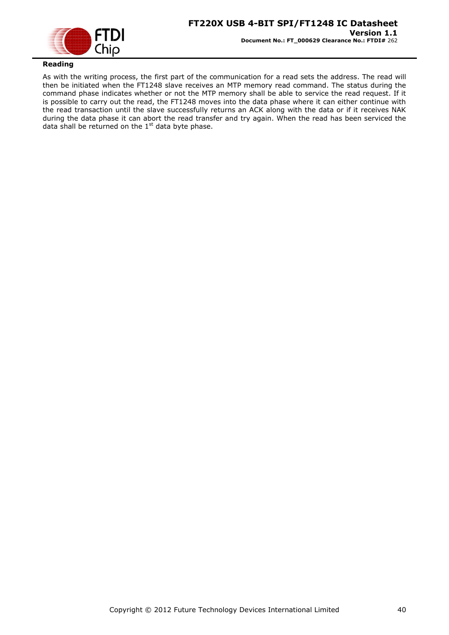

### **Reading**

As with the writing process, the first part of the communication for a read sets the address. The read will then be initiated when the FT1248 slave receives an MTP memory read command. The status during the command phase indicates whether or not the MTP memory shall be able to service the read request. If it is possible to carry out the read, the FT1248 moves into the data phase where it can either continue with the read transaction until the slave successfully returns an ACK along with the data or if it receives NAK during the data phase it can abort the read transfer and try again. When the read has been serviced the data shall be returned on the  $1<sup>st</sup>$  data byte phase.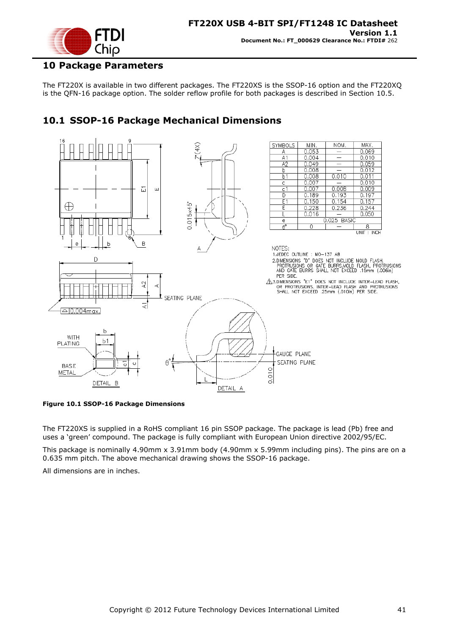

### <span id="page-40-0"></span>**10 Package Parameters**

The FT220X is available in two different packages. The FT220XS is the SSOP-16 option and the FT220XQ is the QFN-16 package option. The solder reflow profile for both packages is described in Section [10.5.](#page-44-0)

# <span id="page-40-1"></span>**10.1 SSOP-16 Package Mechanical Dimensions**



<span id="page-40-2"></span>**Figure 10.1 SSOP-16 Package Dimensions**

The FT220XS is supplied in a RoHS compliant 16 pin SSOP package. The package is lead (Pb) free and uses a "green" compound. The package is fully compliant with European Union directive 2002/95/EC.

This package is nominally 4.90mm x 3.91mm body (4.90mm x 5.99mm including pins). The pins are on a 0.635 mm pitch. The above mechanical drawing shows the SSOP-16 package.

All dimensions are in inches.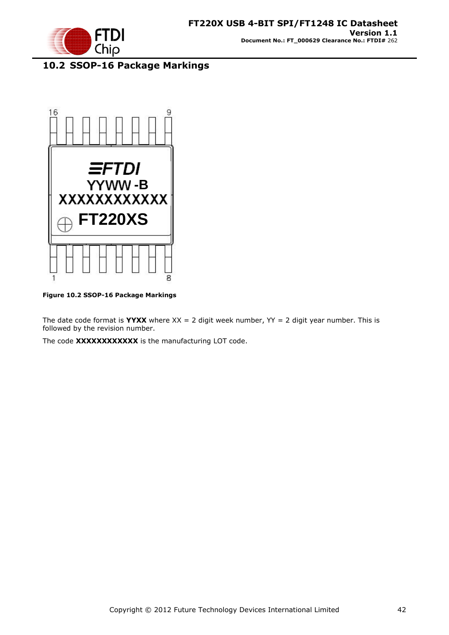

# <span id="page-41-0"></span>**10.2 SSOP-16 Package Markings**



**Figure 10.2 SSOP-16 Package Markings**

<span id="page-41-1"></span>The date code format is **YYXX** where  $XX = 2$  digit week number,  $YY = 2$  digit year number. This is followed by the revision number.

The code **XXXXXXXXXXXX** is the manufacturing LOT code.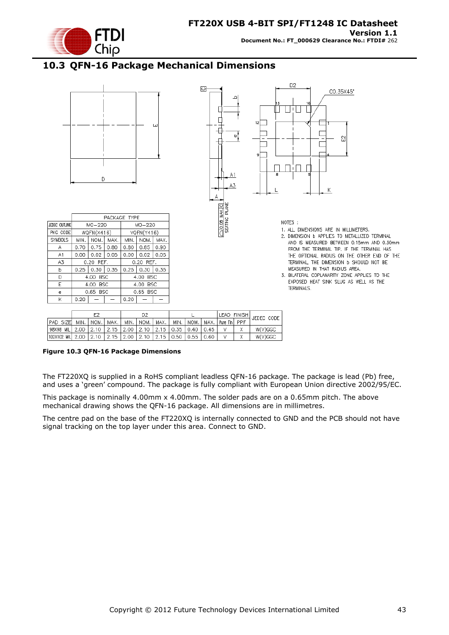

# <span id="page-42-0"></span>**10.3 QFN-16 Package Mechanical Dimensions**



|                                                                           |                    |  |             |      |      |  | LEAD FINISH            | <b>JEDEC CODE</b> |
|---------------------------------------------------------------------------|--------------------|--|-------------|------|------|--|------------------------|-------------------|
| PAD SIZEL                                                                 | MIN.   NOM.   MAX. |  | min.   nom. | MAX. | MIN. |  | NOM. MAX. Pure Tin PPF |                   |
| 98X98 MILI 2.00   2.10   2.15   2.00   2.10   2.15   0.35   0.40   0.45   |                    |  |             |      |      |  |                        | W(V)GGC           |
| 102X102 MIL  2.00   2.10   2.15   2.00   2.10   2.15   0.50   0.55   0.60 |                    |  |             |      |      |  |                        | W(V)GGC           |

<span id="page-42-1"></span>**Figure 10.3 QFN-16 Package Dimensions**

The FT220XQ is supplied in a RoHS compliant leadless QFN-16 package. The package is lead (Pb) free, and uses a "green" compound. The package is fully compliant with European Union directive 2002/95/EC.

This package is nominally 4.00mm x 4.00mm. The solder pads are on a 0.65mm pitch. The above mechanical drawing shows the QFN-16 package. All dimensions are in millimetres.

The centre pad on the base of the FT220XQ is internally connected to GND and the PCB should not have signal tracking on the top layer under this area. Connect to GND.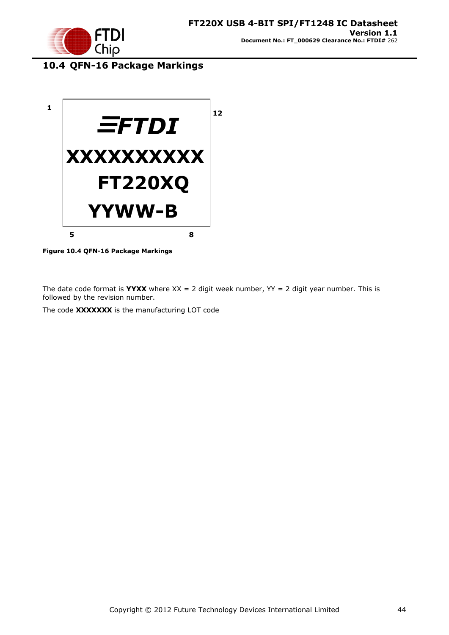

# <span id="page-43-0"></span>**10.4 QFN-16 Package Markings**



**Figure 10.4 QFN-16 Package Markings**

<span id="page-43-1"></span>The date code format is **YYXX** where  $XX = 2$  digit week number,  $YY = 2$  digit year number. This is followed by the revision number.

The code **XXXXXXX** is the manufacturing LOT code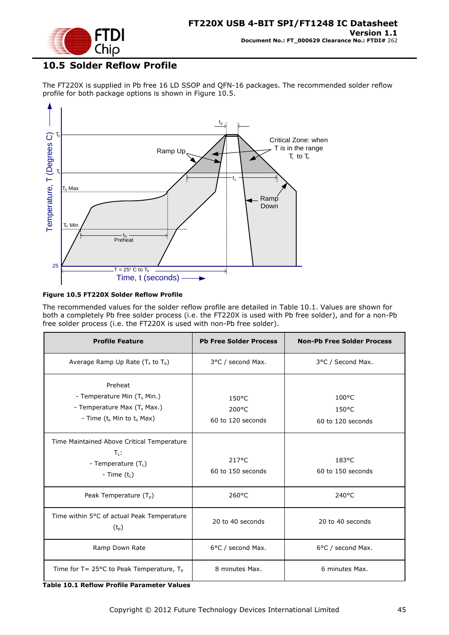

# <span id="page-44-0"></span>**10.5 Solder Reflow Profile**

The FT220X is supplied in Pb free 16 LD SSOP and QFN-16 packages. The recommended solder reflow profile for both package options is shown in [Figure 10.5.](#page-44-1)



#### <span id="page-44-1"></span>**Figure 10.5 FT220X Solder Reflow Profile**

The recommended values for the solder reflow profile are detailed in [Table 10.1.](#page-44-2) Values are shown for both a completely Pb free solder process (i.e. the FT220X is used with Pb free solder), and for a non-Pb free solder process (i.e. the FT220X is used with non-Pb free solder).

| <b>Profile Feature</b>                                                                                                  | <b>Pb Free Solder Process</b>        | <b>Non-Pb Free Solder Process</b>             |
|-------------------------------------------------------------------------------------------------------------------------|--------------------------------------|-----------------------------------------------|
| Average Ramp Up Rate $(T_s$ to $T_p$ )                                                                                  | 3°C / second Max.                    | 3°C / Second Max.                             |
| Preheat<br>- Temperature Min $(T_s$ Min.)<br>- Temperature Max (T <sub>s</sub> Max.)<br>- Time $(t_s$ Min to $t_s$ Max) | 150°C<br>200°C<br>60 to 120 seconds  | 100°C<br>$150^{\circ}$ C<br>60 to 120 seconds |
| Time Maintained Above Critical Temperature<br>$T_1$ :<br>- Temperature $(T_L)$<br>- Time $(t_L)$                        | $217^{\circ}$ C<br>60 to 150 seconds | $183^{\circ}$ C<br>60 to 150 seconds          |
| Peak Temperature $(T_{p})$                                                                                              | $260^{\circ}$ C                      | $240^{\circ}$ C                               |
| Time within 5°C of actual Peak Temperature<br>$(t_{p})$                                                                 | 20 to 40 seconds                     | 20 to 40 seconds                              |
| Ramp Down Rate                                                                                                          | 6°C / second Max.                    | 6°C / second Max.                             |
| Time for T= 25 $\degree$ C to Peak Temperature, T <sub>p</sub>                                                          | 8 minutes Max.                       | 6 minutes Max.                                |

<span id="page-44-2"></span>**Table 10.1 Reflow Profile Parameter Values**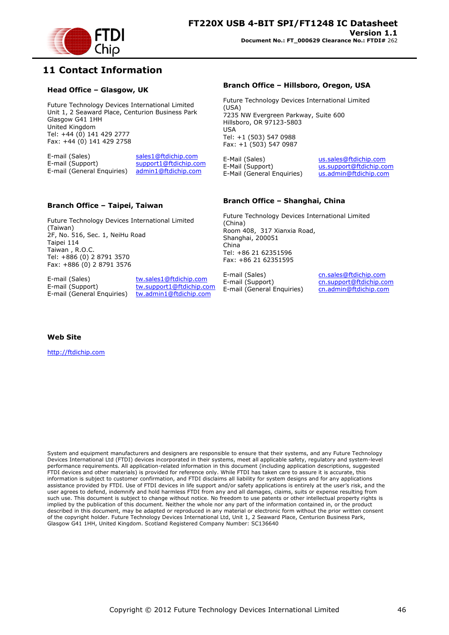

## <span id="page-45-0"></span>**11 Contact Information**

#### **Head Office – Glasgow, UK**

Future Technology Devices International Limited Unit 1, 2 Seaward Place, Centurion Business Park Glasgow G41 1HH United Kingdom Tel: +44 (0) 141 429 2777 Fax: +44 (0) 141 429 2758

E-mail (Sales) sales1@ftdichip.com<br>E-mail (Support) support1@ftdichip.com support1@ftdichip.com E-mail (General Enquiries) admin1@ftdichip.com

#### **Branch Office – Taipei, Taiwan**

Future Technology Devices International Limited (Taiwan) 2F, No. 516, Sec. 1, NeiHu Road Taipei 114 Taiwan , R.O.C. Tel: +886 (0) 2 8791 3570 Fax: +886 (0) 2 8791 3576

E-mail (Sales) tw.sales1@ftdichip.com E-mail (General Enquiries) tw.admin1@ftdichip.com

E-mail (Support) tw.support1@ftdichip.com

#### **Branch Office – Hillsboro, Oregon, USA**

Future Technology Devices International Limited (USA) 7235 NW Evergreen Parkway, Suite 600 Hillsboro, OR 97123-5803 USA Tel: +1 (503) 547 0988 Fax: +1 (503) 547 0987

E-Mail (Sales) us.sales@ftdichip.com E-Mail (Support) us.support@ftdichip.com<br>E-Mail (General Enquiries) us.admin@ftdichip.com E-Mail (General Enquiries)

#### **Branch Office – Shanghai, China**

Future Technology Devices International Limited (China) Room 408, 317 Xianxia Road, Shanghai, 200051 China Tel: +86 21 62351596 Fax: +86 21 62351595

E-mail (Sales) cn.sales@ftdichip.com E-mail (Support) cn.support@ftdichip.com E-mail (General Enquiries) cn.admin@ftdichip.com

**Web Site**

http://ftdichip.com

System and equipment manufacturers and designers are responsible to ensure that their systems, and any Future Technology Devices International Ltd (FTDI) devices incorporated in their systems, meet all applicable safety, regulatory and system-level performance requirements. All application-related information in this document (including application descriptions, suggested FTDI devices and other materials) is provided for reference only. While FTDI has taken care to assure it is accurate, this information is subject to customer confirmation, and FTDI disclaims all liability for system designs and for any applications assistance provided by FTDI. Use of FTDI devices in life support and/or safety applications is entirely at the user"s risk, and the user agrees to defend, indemnify and hold harmless FTDI from any and all damages, claims, suits or expense resulting from such use. This document is subject to change without notice. No freedom to use patents or other intellectual property rights is implied by the publication of this document. Neither the whole nor any part of the information contained in, or the product described in this document, may be adapted or reproduced in any material or electronic form without the prior written consent of the copyright holder. Future Technology Devices International Ltd, Unit 1, 2 Seaward Place, Centurion Business Park, Glasgow G41 1HH, United Kingdom. Scotland Registered Company Number: SC136640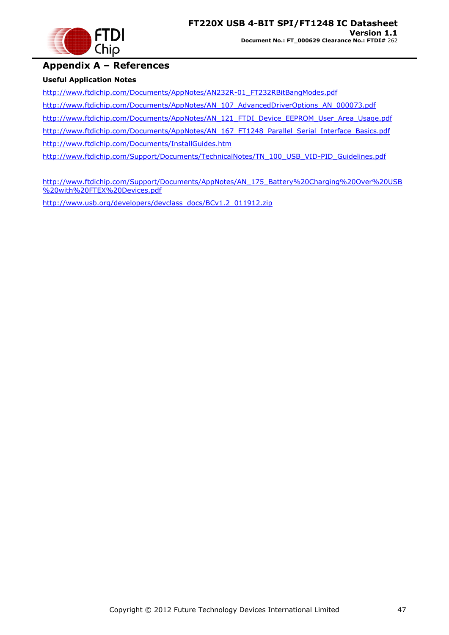

### <span id="page-46-0"></span>**Appendix A – References**

### **Useful Application Notes**

[http://www.ftdichip.com/Documents/AppNotes/AN232R-01\\_FT232RBitBangModes.pdf](http://www.ftdichip.com/Documents/AppNotes/AN232R-01_FT232RBitBangModes.pdf)

[http://www.ftdichip.com/Documents/AppNotes/AN\\_107\\_AdvancedDriverOptions\\_AN\\_000073.pdf](http://www.ftdichip.com/Documents/AppNotes/AN_107_AdvancedDriverOptions_AN_000073.pdf)

[http://www.ftdichip.com/Documents/AppNotes/AN\\_121\\_FTDI\\_Device\\_EEPROM\\_User\\_Area\\_Usage.pdf](http://www.ftdichip.com/Documents/AppNotes/AN_121_FTDI_Device_EEPROM_User_Area_Usage.pdf)

[http://www.ftdichip.com/Documents/AppNotes/AN\\_167\\_FT1248\\_Parallel\\_Serial\\_Interface\\_Basics.pdf](http://www.ftdichip.com/Documents/AppNotes/AN_167_FT1248_Parallel_Serial_Interface_Basics.pdf)

<http://www.ftdichip.com/Documents/InstallGuides.htm>

[http://www.ftdichip.com/Support/Documents/TechnicalNotes/TN\\_100\\_USB\\_VID-PID\\_Guidelines.pdf](http://www.ftdichip.com/Support/Documents/TechnicalNotes/TN_100_USB_VID-PID_Guidelines.pdf)

[http://www.ftdichip.com/Support/Documents/AppNotes/AN\\_175\\_Battery%20Charging%20Over%20USB](http://www.ftdichip.com/Support/Documents/AppNotes/AN_175_Battery%20Charging%20Over%20USB%20with%20FTEX%20Devices.pdf) [%20with%20FTEX%20Devices.pdf](http://www.ftdichip.com/Support/Documents/AppNotes/AN_175_Battery%20Charging%20Over%20USB%20with%20FTEX%20Devices.pdf)

[http://www.usb.org/developers/devclass\\_docs/BCv1.2\\_011912.zip](http://www.usb.org/developers/devclass_docs/BCv1.2_011912.zip)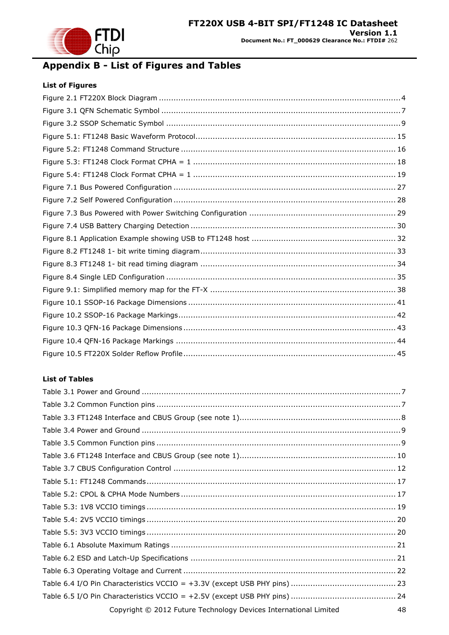

# <span id="page-47-0"></span>**Appendix B - List of Figures and Tables**

### **List of Figures**

### **List of Tables**

| Copyright © 2012 Future Technology Devices International Limited<br>48 |
|------------------------------------------------------------------------|
|                                                                        |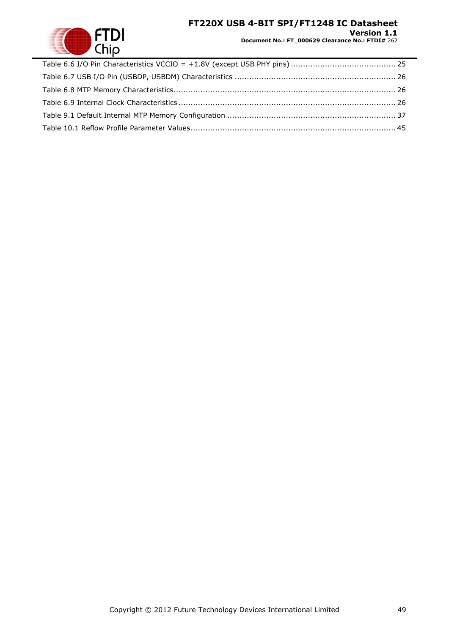